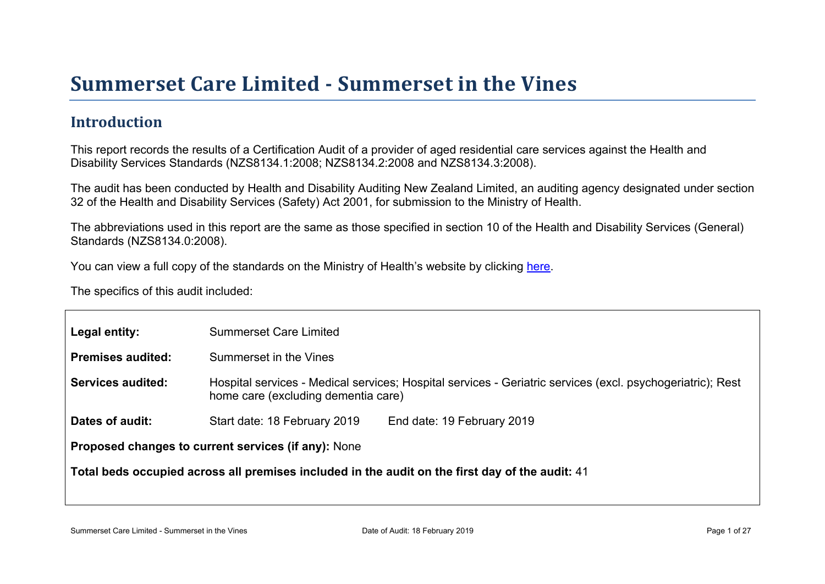# Summer set Car e Limited - Summer set in the Vines

#### Introduction

This report records the results of a Certification Audit of a provider of aged residential care services against the Health and Disability Services Standards (NZS8134.1:2008; NZS8134.2:2008 and NZS8134.3:2008).

The audit has been conducted by Health and Disability Auditing New Zealand Limited, an auditing agency designated under section 32 of the Health and Disability Services (Safety) Act 2001, for submission to the Ministry of Health.

The abbreviations used in this report are the same as those specified in section 10 of the Health and Disability Services (General) Standards (NZS8134.0:2008).

You can view a full copy of the standards on the Ministry of Health's website by clicking [here.](http://www.health.govt.nz/our-work/regulation-health-and-disability-system/certification-health-care-services/health-and-disability-services-standards)

The specifics of this audit included:

| Legal entity:                                       | <b>Summerset Care Limited</b>                                                                                                                     |  |  |  |
|-----------------------------------------------------|---------------------------------------------------------------------------------------------------------------------------------------------------|--|--|--|
| Premises audited:                                   | Summerset in the Vines                                                                                                                            |  |  |  |
| Services audited:                                   | Hospital services - Medical services; Hospital services - Geriatric services (excl. psychogeriatric); Rest<br>home care (excluding dementia care) |  |  |  |
| Dates of audit:                                     | Start date: 18 February 2019<br>End date: 19 February 2019                                                                                        |  |  |  |
| Proposed changes to current services (if any): None |                                                                                                                                                   |  |  |  |
|                                                     | Total beds occupied across all premises included<br>in the audit on the first day of the audit: 41                                                |  |  |  |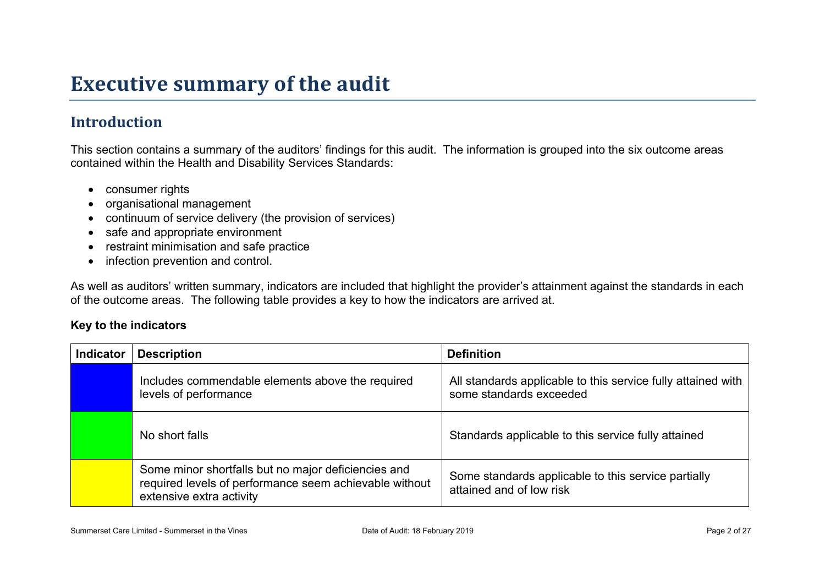## **Executive summary of the audit**

### **Introduction**

This section contains a summary of the auditors' findings for this audit. The information is grouped into the six outcome areas contained within the Health and Disability Services Standards:

- consumer rights
- organisational management
- continuum of service delivery (the provision of services)
- safe and appropriate environment
- restraint minimisation and safe practice
- infection prevention and control.

As well as auditors' written summary, indicators are included that highlight the provider's attainment against the standards in each of the outcome areas. The following table provides a key to how the indicators are arrived at.

#### **Key to the indicators**

| <b>Indicator</b> | <b>Description</b>                                                                                                                        | <b>Definition</b>                                                                       |
|------------------|-------------------------------------------------------------------------------------------------------------------------------------------|-----------------------------------------------------------------------------------------|
|                  | Includes commendable elements above the required<br>levels of performance                                                                 | All standards applicable to this service fully attained with<br>some standards exceeded |
|                  | No short falls                                                                                                                            | Standards applicable to this service fully attained                                     |
|                  | Some minor shortfalls but no major deficiencies and<br>required levels of performance seem achievable without<br>extensive extra activity | Some standards applicable to this service partially<br>attained and of low risk         |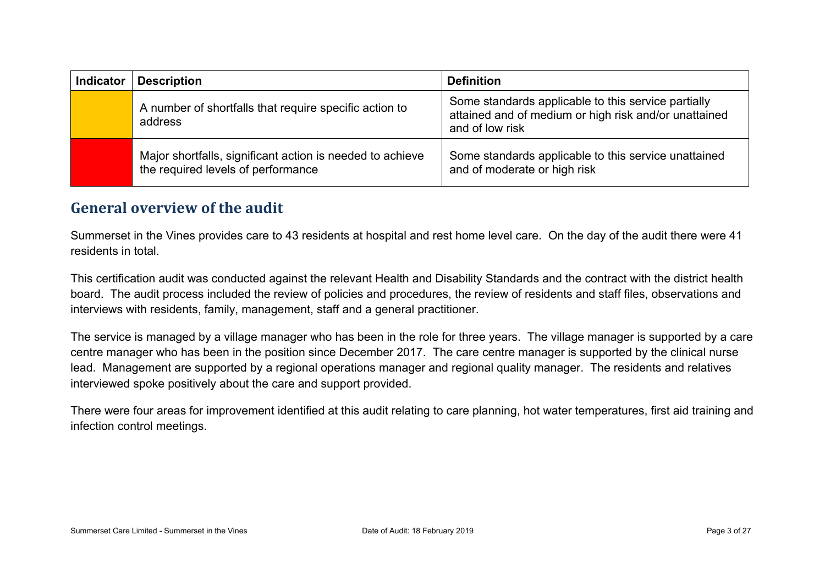| <b>Indicator</b> | <b>Description</b>                                                                              | <b>Definition</b>                                                                                                               |
|------------------|-------------------------------------------------------------------------------------------------|---------------------------------------------------------------------------------------------------------------------------------|
|                  | A number of shortfalls that require specific action to<br>address                               | Some standards applicable to this service partially<br>attained and of medium or high risk and/or unattained<br>and of low risk |
|                  | Major shortfalls, significant action is needed to achieve<br>the required levels of performance | Some standards applicable to this service unattained<br>and of moderate or high risk                                            |

#### **General overview of the audit**

Summerset in the Vines provides care to 43 residents at hospital and rest home level care. On the day of the audit there were 41 residents in total.

This certification audit was conducted against the relevant Health and Disability Standards and the contract with the district health board. The audit process included the review of policies and procedures, the review of residents and staff files, observations and interviews with residents, family, management, staff and a general practitioner.

The service is managed by a village manager who has been in the role for three years. The village manager is supported by a care centre manager who has been in the position since December 2017. The care centre manager is supported by the clinical nurse lead. Management are supported by a regional operations manager and regional quality manager. The residents and relatives interviewed spoke positively about the care and support provided.

There were four areas for improvement identified at this audit relating to care planning, hot water temperatures, first aid training and infection control meetings.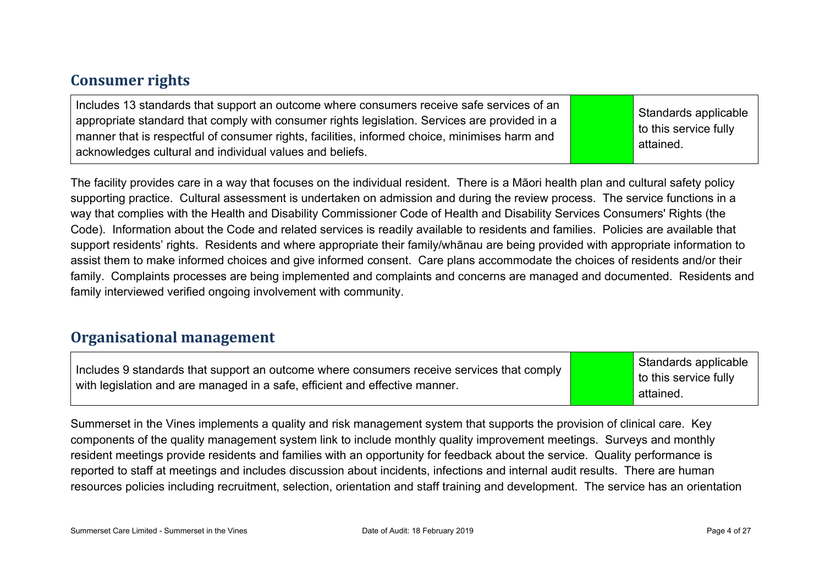#### **Consumer rights**

| Includes 13 standards that support an outcome where consumers receive safe services of an<br>appropriate standard that comply with consumer rights legislation. Services are provided in a<br>manner that is respectful of consumer rights, facilities, informed choice, minimises harm and<br>acknowledges cultural and individual values and beliefs. |  | Standards applicable<br>$\vert$ to this service fully<br>attained. |
|---------------------------------------------------------------------------------------------------------------------------------------------------------------------------------------------------------------------------------------------------------------------------------------------------------------------------------------------------------|--|--------------------------------------------------------------------|
|---------------------------------------------------------------------------------------------------------------------------------------------------------------------------------------------------------------------------------------------------------------------------------------------------------------------------------------------------------|--|--------------------------------------------------------------------|

The facility provides care in a way that focuses on the individual resident. There is a Māori health plan and cultural safety policy supporting practice. Cultural assessment is undertaken on admission and during the review process. The service functions in a way that complies with the Health and Disability Commissioner Code of Health and Disability Services Consumers' Rights (the Code). Information about the Code and related services is readily available to residents and families. Policies are available that support residents' rights. Residents and where appropriate their family/whānau are being provided with appropriate information to assist them to make informed choices and give informed consent. Care plans accommodate the choices of residents and/or their family. Complaints processes are being implemented and complaints and concerns are managed and documented. Residents and family interviewed verified ongoing involvement with community.

#### **Organisational management**

Includes 9 standards that support an outcome where consumers receive services that comply with legislation and are managed in a safe, efficient and effective manner.

Standards applicable to this service fully attained.

Summerset in the Vines implements a quality and risk management system that supports the provision of clinical care. Key components of the quality management system link to include monthly quality improvement meetings. Surveys and monthly resident meetings provide residents and families with an opportunity for feedback about the service. Quality performance is reported to staff at meetings and includes discussion about incidents, infections and internal audit results. There are human resources policies including recruitment, selection, orientation and staff training and development. The service has an orientation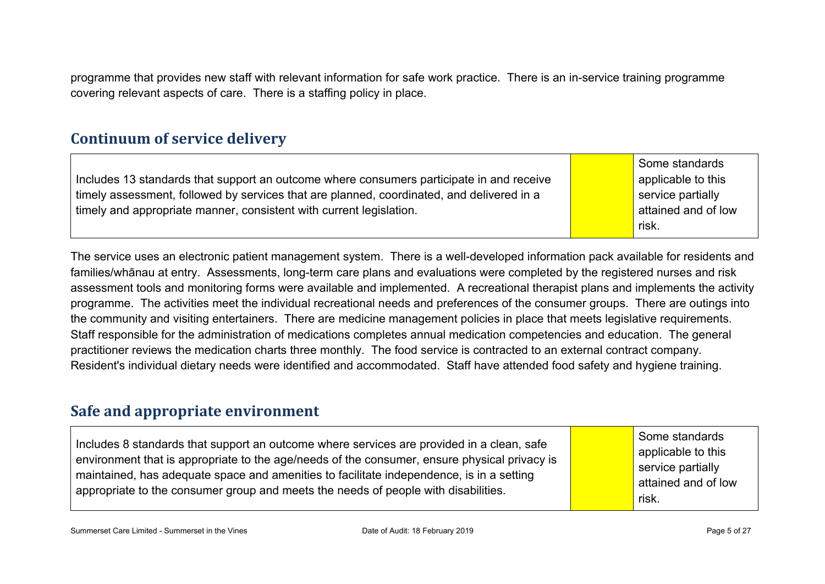programme that provides new staff with relevant information for safe work practice. There is an in-service training programme covering relevant aspects of care. There is a staffing policy in place.

#### **Continuum of service delivery**

Includes 13 standards that support an outcome where consumers participate in and receive timely assessment, followed by services that are planned, coordinated, and delivered in a timely and appropriate manner, consistent with current legislation.

Some standards applicable to this service partially attained and of low risk.

The service uses an electronic patient management system. There is a well-developed information pack available for residents and families/whānau at entry. Assessments, long-term care plans and evaluations were completed by the registered nurses and risk assessment tools and monitoring forms were available and implemented. A recreational therapist plans and implements the activity programme. The activities meet the individual recreational needs and preferences of the consumer groups. There are outings into the community and visiting entertainers. There are medicine management policies in place that meets legislative requirements. Staff responsible for the administration of medications completes annual medication competencies and education. The general practitioner reviews the medication charts three monthly. The food service is contracted to an external contract company. Resident's individual dietary needs were identified and accommodated. Staff have attended food safety and hygiene training.

#### **Safe and appropriate environment**

| Includes 8 standards that support an outcome where services are provided in a clean, safe<br>environment that is appropriate to the age/needs of the consumer, ensure physical privacy is<br>maintained, has adequate space and amenities to facilitate independence, is in a setting<br>appropriate to the consumer group and meets the needs of people with disabilities. |  | Some standards<br>applicable to this<br>service partially<br>attained and of low<br>risk. |
|-----------------------------------------------------------------------------------------------------------------------------------------------------------------------------------------------------------------------------------------------------------------------------------------------------------------------------------------------------------------------------|--|-------------------------------------------------------------------------------------------|
|-----------------------------------------------------------------------------------------------------------------------------------------------------------------------------------------------------------------------------------------------------------------------------------------------------------------------------------------------------------------------------|--|-------------------------------------------------------------------------------------------|

Summerset Care Limited - Summerset in the Vines Care Date of Audit: 18 February 2019 Page 5 of 27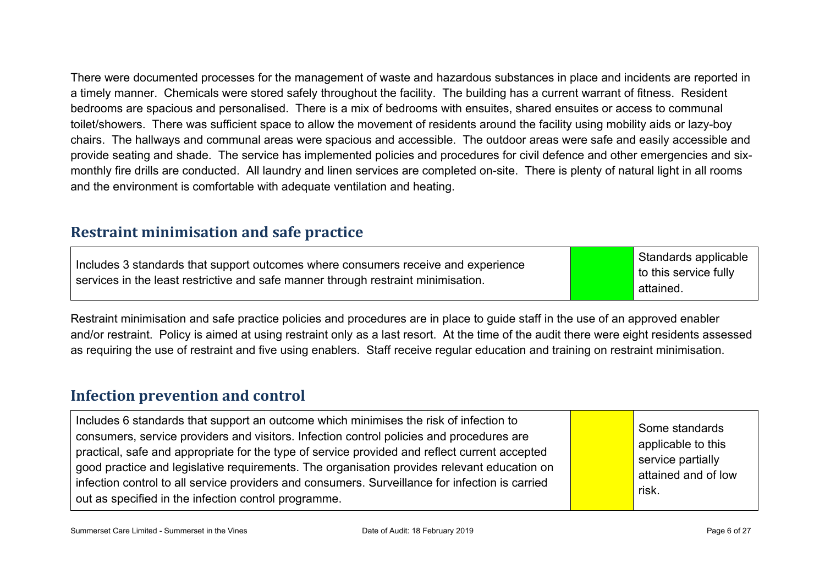There were documented processes for the management of waste and hazardous substances in place and incidents are reported in a timely manner. Chemicals were stored safely throughout the facility. The building has a current warrant of fitness. Resident bedrooms are spacious and personalised. There is a mix of bedrooms with ensuites, shared ensuites or access to communal toilet/showers. There was sufficient space to allow the movement of residents around the facility using mobility aids or lazy-boy chairs. The hallways and communal areas were spacious and accessible. The outdoor areas were safe and easily accessible and provide seating and shade. The service has implemented policies and procedures for civil defence and other emergencies and sixmonthly fire drills are conducted. All laundry and linen services are completed on-site. There is plenty of natural light in all rooms and the environment is comfortable with adequate ventilation and heating.

#### **Restraint minimisation and safe practice**

Includes 3 standards that support outcomes where consumers receive and experience services in the least restrictive and safe manner through restraint minimisation.

Standards applicable to this service fully attained.

Restraint minimisation and safe practice policies and procedures are in place to guide staff in the use of an approved enabler and/or restraint. Policy is aimed at using restraint only as a last resort. At the time of the audit there were eight residents assessed as requiring the use of restraint and five using enablers. Staff receive regular education and training on restraint minimisation.

#### **Infection prevention and control**

| Includes 6 standards that support an outcome which minimises the risk of infection to<br>consumers, service providers and visitors. Infection control policies and procedures are<br>practical, safe and appropriate for the type of service provided and reflect current accepted<br>good practice and legislative requirements. The organisation provides relevant education on<br>infection control to all service providers and consumers. Surveillance for infection is carried<br>out as specified in the infection control programme. |  | Some standards<br>applicable to this<br>service partially<br>attained and of low<br>risk. |
|----------------------------------------------------------------------------------------------------------------------------------------------------------------------------------------------------------------------------------------------------------------------------------------------------------------------------------------------------------------------------------------------------------------------------------------------------------------------------------------------------------------------------------------------|--|-------------------------------------------------------------------------------------------|
|----------------------------------------------------------------------------------------------------------------------------------------------------------------------------------------------------------------------------------------------------------------------------------------------------------------------------------------------------------------------------------------------------------------------------------------------------------------------------------------------------------------------------------------------|--|-------------------------------------------------------------------------------------------|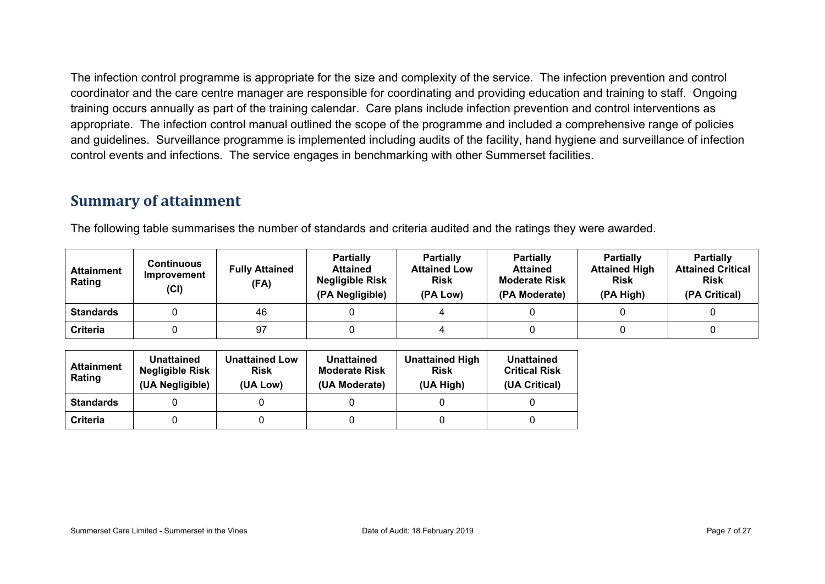The infection control programme is appropriate for the size and complexity of the service. The infection prevention and control coordinator and the care centre manager are responsible for coordinating and providing education and training to staff. Ongoing training occurs annually as part of the training calendar. Care plans include infection prevention and control interventions as appropriate. The infection control manual outlined the scope of the programme and included a comprehensive range of policies and guidelines. Surveillance programme is implemented including audits of the facility, hand hygiene and surveillance of infection control events and infections. The service engages in benchmarking with other Summerset facilities.

#### **Summary of attainment**

The following table summarises the number of standards and criteria audited and the ratings they were awarded.

| <b>Attainment</b><br>Rating | <b>Continuous</b><br>Improvement<br>(Cl) | <b>Fully Attained</b><br>(FA) | <b>Partially</b><br><b>Attained</b><br><b>Negligible Risk</b><br>(PA Negligible) | <b>Partially</b><br><b>Attained Low</b><br><b>Risk</b><br>(PA Low) | <b>Partially</b><br><b>Attained</b><br><b>Moderate Risk</b><br>(PA Moderate) | <b>Partially</b><br><b>Attained High</b><br><b>Risk</b><br>(PA High) | <b>Partially</b><br><b>Attained Critical</b><br><b>Risk</b><br>(PA Critical) |
|-----------------------------|------------------------------------------|-------------------------------|----------------------------------------------------------------------------------|--------------------------------------------------------------------|------------------------------------------------------------------------------|----------------------------------------------------------------------|------------------------------------------------------------------------------|
| <b>Standards</b>            |                                          | 46                            |                                                                                  |                                                                    |                                                                              |                                                                      |                                                                              |
| Criteria                    |                                          | 97                            |                                                                                  |                                                                    |                                                                              |                                                                      |                                                                              |

| <b>Attainment</b><br>Rating | <b>Unattained</b><br>Negligible Risk<br>(UA Negligible) | <b>Unattained Low</b><br><b>Risk</b><br>(UA Low) | <b>Unattained</b><br><b>Moderate Risk</b><br>(UA Moderate) | <b>Unattained High</b><br><b>Risk</b><br>(UA High) | <b>Unattained</b><br><b>Critical Risk</b><br>(UA Critical) |
|-----------------------------|---------------------------------------------------------|--------------------------------------------------|------------------------------------------------------------|----------------------------------------------------|------------------------------------------------------------|
| <b>Standards</b>            |                                                         |                                                  |                                                            |                                                    |                                                            |
| <b>Criteria</b>             |                                                         |                                                  |                                                            |                                                    |                                                            |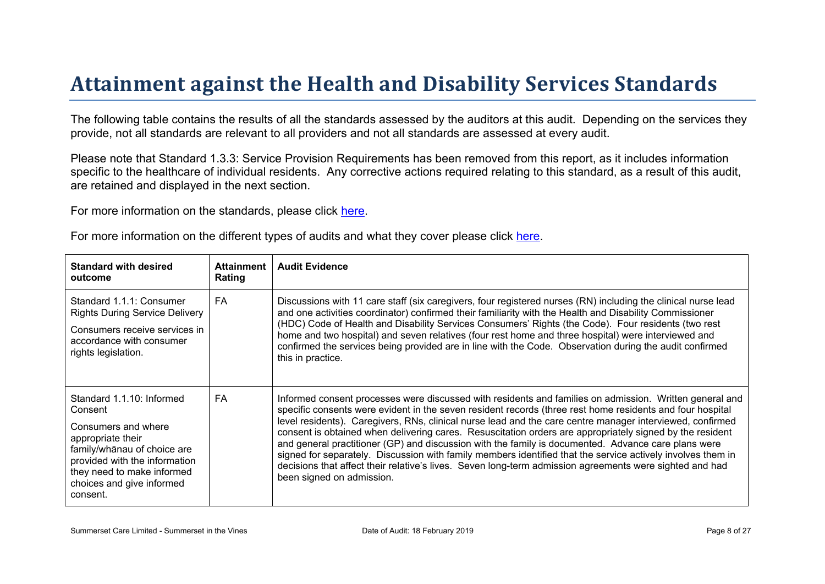# Attainment against the Health and Disability Ser vices Standar ds

The following table contains the results of all the standards assessed by the auditors at this audit. Depending on the services they provide, not all standards are relevant to all providers and not all standards are assessed at every audit.

Please note that Standard 1.3.3: Service Provision Requirements has been removed from this report, as it includes information specific to the healthcare of individual residents. Any corrective actions required relating to this standard, as a result of this audit. are retained and displayed in the next section.

For more information on the standards, please click [here](http://www.health.govt.nz/our-work/regulation-health-and-disability-system/certification-health-care-services/health-and-disability-services-standards).

For more information on the different types of audits and what they cover please click [here.](http://www.health.govt.nz/your-health/services-and-support/health-care-services/services-older-people/rest-home-certification-and-audits)

| Standard with desired<br>outcome                                                                                                                                                                                  | Attainment<br>Rating | <b>Audit Evidence</b>                                                                                                                                                                                                                                                                                                                                                                                                                                                                                                                                                                                                                                                                                                                                                                                       |
|-------------------------------------------------------------------------------------------------------------------------------------------------------------------------------------------------------------------|----------------------|-------------------------------------------------------------------------------------------------------------------------------------------------------------------------------------------------------------------------------------------------------------------------------------------------------------------------------------------------------------------------------------------------------------------------------------------------------------------------------------------------------------------------------------------------------------------------------------------------------------------------------------------------------------------------------------------------------------------------------------------------------------------------------------------------------------|
| Standard 1.1.1: Consumer<br><b>Rights During Service Delivery</b><br>Consumers receive services in<br>accordance with consumer<br>rights legislation.                                                             | FA.                  | Discussions with 11 care staff (six caregivers, four registered nurses (RN) including the clinical nurse lead<br>and one activities coordinator) confirmed their familiarity with the Health and Disability Commissioner<br>(HDC) Code of Health and Disability Services Consumers' Rights (the Code). Four residents (two rest<br>home and two hospital) and seven relatives (four rest home and three hospital) were interviewed and<br>confirmed the services being provided are in line with the Code. Observation during the audit confirmed<br>this in practice.                                                                                                                                                                                                                                      |
| Standard 1.1.10: Informed<br>Consent<br>Consumers and where<br>appropriate their<br>$% = 0$ of choice are<br>provided with the information<br>they need to make informed<br>choices and give informed<br>consent. | FA                   | Informed consent processes were discussed with residents and families on admission. Written general and<br>specific consents were evident in the seven resident records (three rest home residents and four hospital<br>level residents). Caregivers, RNs, clinical nurse lead and the care centre manager interviewed, confirmed<br>consent is obtained when delivering cares. Resuscitation orders are appropriately signed by the resident<br>and general practitioner (GP) and discussion with the family is documented. Advance care plans were<br>signed for separately. Discussion with family members identified that the service actively involves them in<br>decisions that affect their relative's lives. Seven long-term admission agreements were sighted and had<br>been signed on admission. |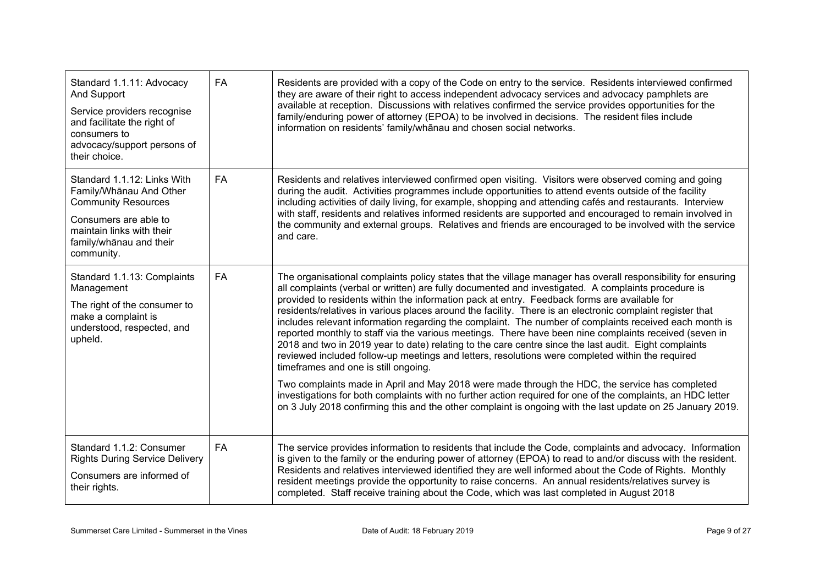| Standard 1.1.11: Advocacy<br><b>And Support</b><br>Service providers recognise<br>and facilitate the right of<br>consumers to<br>advocacy/support persons of<br>their choice.       | FA        | Residents are provided with a copy of the Code on entry to the service. Residents interviewed confirmed<br>they are aware of their right to access independent advocacy services and advocacy pamphlets are<br>available at reception. Discussions with relatives confirmed the service provides opportunities for the<br>family/enduring power of attorney (EPOA) to be involved in decisions. The resident files include<br>information on residents' family/whanau and chosen social networks.                                                                                                                                                                                                                                                                                                                                                                                                                                                                                                                                                                                                                                                                                                                                        |
|-------------------------------------------------------------------------------------------------------------------------------------------------------------------------------------|-----------|------------------------------------------------------------------------------------------------------------------------------------------------------------------------------------------------------------------------------------------------------------------------------------------------------------------------------------------------------------------------------------------------------------------------------------------------------------------------------------------------------------------------------------------------------------------------------------------------------------------------------------------------------------------------------------------------------------------------------------------------------------------------------------------------------------------------------------------------------------------------------------------------------------------------------------------------------------------------------------------------------------------------------------------------------------------------------------------------------------------------------------------------------------------------------------------------------------------------------------------|
| Standard 1.1.12: Links With<br>Family/Whanau And Other<br><b>Community Resources</b><br>Consumers are able to<br>maintain links with their<br>family/whanau and their<br>community. | <b>FA</b> | Residents and relatives interviewed confirmed open visiting. Visitors were observed coming and going<br>during the audit. Activities programmes include opportunities to attend events outside of the facility<br>including activities of daily living, for example, shopping and attending cafés and restaurants. Interview<br>with staff, residents and relatives informed residents are supported and encouraged to remain involved in<br>the community and external groups. Relatives and friends are encouraged to be involved with the service<br>and care.                                                                                                                                                                                                                                                                                                                                                                                                                                                                                                                                                                                                                                                                        |
| Standard 1.1.13: Complaints<br>Management<br>The right of the consumer to<br>make a complaint is<br>understood, respected, and<br>upheld.                                           | FA        | The organisational complaints policy states that the village manager has overall responsibility for ensuring<br>all complaints (verbal or written) are fully documented and investigated. A complaints procedure is<br>provided to residents within the information pack at entry. Feedback forms are available for<br>residents/relatives in various places around the facility. There is an electronic complaint register that<br>includes relevant information regarding the complaint. The number of complaints received each month is<br>reported monthly to staff via the various meetings. There have been nine complaints received (seven in<br>2018 and two in 2019 year to date) relating to the care centre since the last audit. Eight complaints<br>reviewed included follow-up meetings and letters, resolutions were completed within the required<br>timeframes and one is still ongoing.<br>Two complaints made in April and May 2018 were made through the HDC, the service has completed<br>investigations for both complaints with no further action required for one of the complaints, an HDC letter<br>on 3 July 2018 confirming this and the other complaint is ongoing with the last update on 25 January 2019. |
| Standard 1.1.2: Consumer<br><b>Rights During Service Delivery</b><br>Consumers are informed of<br>their rights.                                                                     | FA        | The service provides information to residents that include the Code, complaints and advocacy. Information<br>is given to the family or the enduring power of attorney (EPOA) to read to and/or discuss with the resident.<br>Residents and relatives interviewed identified they are well informed about the Code of Rights. Monthly<br>resident meetings provide the opportunity to raise concerns. An annual residents/relatives survey is<br>completed. Staff receive training about the Code, which was last completed in August 2018                                                                                                                                                                                                                                                                                                                                                                                                                                                                                                                                                                                                                                                                                                |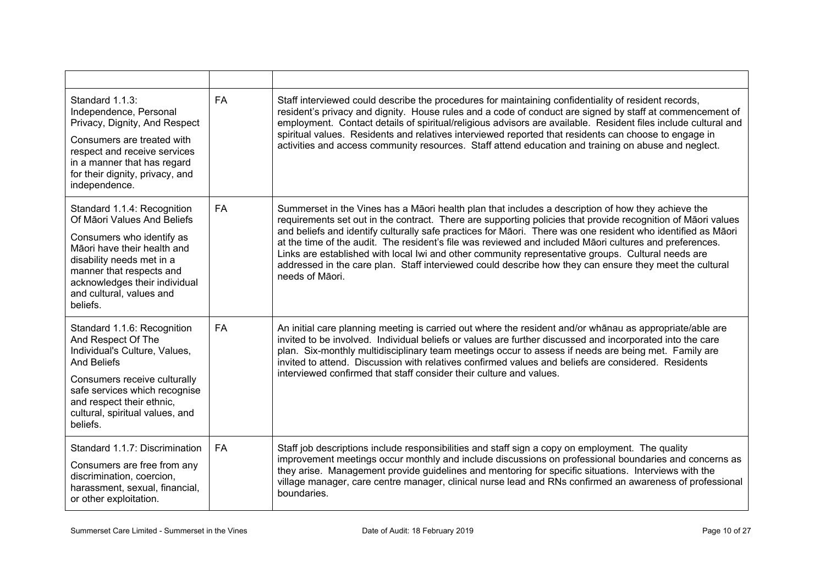| Standard 1.1.3:<br>Independence, Personal<br>Privacy, Dignity, And Respect<br>Consumers are treated with<br>respect and receive services<br>in a manner that has regard<br>for their dignity, privacy, and<br>independence.                              | <b>FA</b> | Staff interviewed could describe the procedures for maintaining confidentiality of resident records,<br>resident's privacy and dignity. House rules and a code of conduct are signed by staff at commencement of<br>employment. Contact details of spiritual/religious advisors are available. Resident files include cultural and<br>spiritual values. Residents and relatives interviewed reported that residents can choose to engage in<br>activities and access community resources. Staff attend education and training on abuse and neglect.                                                                                                                               |
|----------------------------------------------------------------------------------------------------------------------------------------------------------------------------------------------------------------------------------------------------------|-----------|-----------------------------------------------------------------------------------------------------------------------------------------------------------------------------------------------------------------------------------------------------------------------------------------------------------------------------------------------------------------------------------------------------------------------------------------------------------------------------------------------------------------------------------------------------------------------------------------------------------------------------------------------------------------------------------|
| Standard 1.1.4: Recognition<br>Of Māori Values And Beliefs<br>Consumers who identify as<br>Māori have their health and<br>disability needs met in a<br>manner that respects and<br>acknowledges their individual<br>and cultural, values and<br>beliefs. | <b>FA</b> | Summerset in the Vines has a Māori health plan that includes a description of how they achieve the<br>requirements set out in the contract. There are supporting policies that provide recognition of Māori values<br>and beliefs and identify culturally safe practices for Māori. There was one resident who identified as Māori<br>at the time of the audit. The resident's file was reviewed and included Māori cultures and preferences.<br>Links are established with local lwi and other community representative groups. Cultural needs are<br>addressed in the care plan. Staff interviewed could describe how they can ensure they meet the cultural<br>needs of Māori. |
| Standard 1.1.6: Recognition<br>And Respect Of The<br>Individual's Culture, Values,<br><b>And Beliefs</b><br>Consumers receive culturally<br>safe services which recognise<br>and respect their ethnic,<br>cultural, spiritual values, and<br>beliefs.    | <b>FA</b> | An initial care planning meeting is carried out where the resident and/or whanau as appropriate/able are<br>invited to be involved. Individual beliefs or values are further discussed and incorporated into the care<br>plan. Six-monthly multidisciplinary team meetings occur to assess if needs are being met. Family are<br>invited to attend. Discussion with relatives confirmed values and beliefs are considered. Residents<br>interviewed confirmed that staff consider their culture and values.                                                                                                                                                                       |
| Standard 1.1.7: Discrimination<br>Consumers are free from any<br>discrimination, coercion,<br>harassment, sexual, financial,<br>or other exploitation.                                                                                                   | <b>FA</b> | Staff job descriptions include responsibilities and staff sign a copy on employment. The quality<br>improvement meetings occur monthly and include discussions on professional boundaries and concerns as<br>they arise. Management provide guidelines and mentoring for specific situations. Interviews with the<br>village manager, care centre manager, clinical nurse lead and RNs confirmed an awareness of professional<br>boundaries.                                                                                                                                                                                                                                      |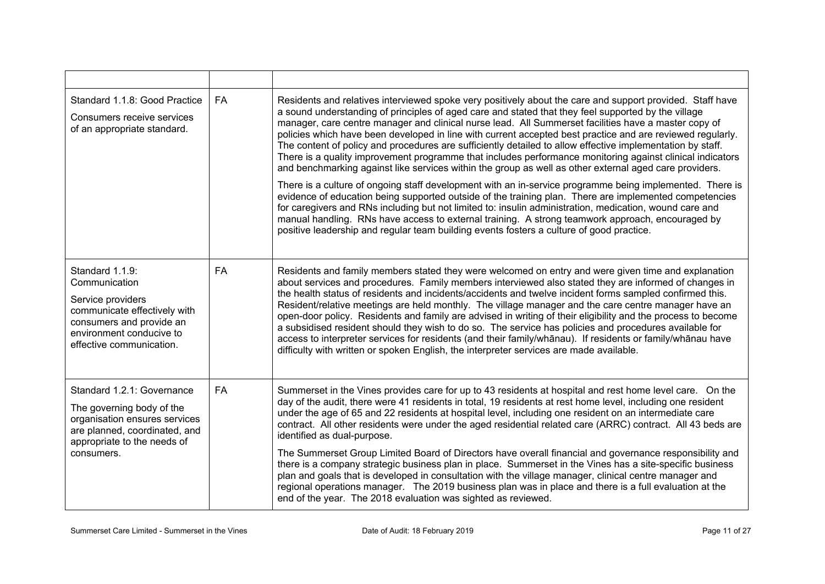| Standard 1.1.8: Good Practice<br>Consumers receive services<br>of an appropriate standard.                                                                                | <b>FA</b> | Residents and relatives interviewed spoke very positively about the care and support provided. Staff have<br>a sound understanding of principles of aged care and stated that they feel supported by the village<br>manager, care centre manager and clinical nurse lead. All Summerset facilities have a master copy of<br>policies which have been developed in line with current accepted best practice and are reviewed regularly.<br>The content of policy and procedures are sufficiently detailed to allow effective implementation by staff.<br>There is a quality improvement programme that includes performance monitoring against clinical indicators<br>and benchmarking against like services within the group as well as other external aged care providers.<br>There is a culture of ongoing staff development with an in-service programme being implemented. There is<br>evidence of education being supported outside of the training plan. There are implemented competencies<br>for caregivers and RNs including but not limited to: insulin administration, medication, wound care and<br>manual handling. RNs have access to external training. A strong teamwork approach, encouraged by<br>positive leadership and regular team building events fosters a culture of good practice. |
|---------------------------------------------------------------------------------------------------------------------------------------------------------------------------|-----------|--------------------------------------------------------------------------------------------------------------------------------------------------------------------------------------------------------------------------------------------------------------------------------------------------------------------------------------------------------------------------------------------------------------------------------------------------------------------------------------------------------------------------------------------------------------------------------------------------------------------------------------------------------------------------------------------------------------------------------------------------------------------------------------------------------------------------------------------------------------------------------------------------------------------------------------------------------------------------------------------------------------------------------------------------------------------------------------------------------------------------------------------------------------------------------------------------------------------------------------------------------------------------------------------------------------|
| Standard 1.1.9:<br>Communication<br>Service providers<br>communicate effectively with<br>consumers and provide an<br>environment conducive to<br>effective communication. | <b>FA</b> | Residents and family members stated they were welcomed on entry and were given time and explanation<br>about services and procedures. Family members interviewed also stated they are informed of changes in<br>the health status of residents and incidents/accidents and twelve incident forms sampled confirmed this.<br>Resident/relative meetings are held monthly. The village manager and the care centre manager have an<br>open-door policy. Residents and family are advised in writing of their eligibility and the process to become<br>a subsidised resident should they wish to do so. The service has policies and procedures available for<br>access to interpreter services for residents (and their family/whānau). If residents or family/whānau have<br>difficulty with written or spoken English, the interpreter services are made available.                                                                                                                                                                                                                                                                                                                                                                                                                                          |
| Standard 1.2.1: Governance<br>The governing body of the<br>organisation ensures services<br>are planned, coordinated, and<br>appropriate to the needs of<br>consumers.    | FA        | Summerset in the Vines provides care for up to 43 residents at hospital and rest home level care. On the<br>day of the audit, there were 41 residents in total, 19 residents at rest home level, including one resident<br>under the age of 65 and 22 residents at hospital level, including one resident on an intermediate care<br>contract. All other residents were under the aged residential related care (ARRC) contract. All 43 beds are<br>identified as dual-purpose.<br>The Summerset Group Limited Board of Directors have overall financial and governance responsibility and<br>there is a company strategic business plan in place. Summerset in the Vines has a site-specific business<br>plan and goals that is developed in consultation with the village manager, clinical centre manager and<br>regional operations manager. The 2019 business plan was in place and there is a full evaluation at the<br>end of the year. The 2018 evaluation was sighted as reviewed.                                                                                                                                                                                                                                                                                                                  |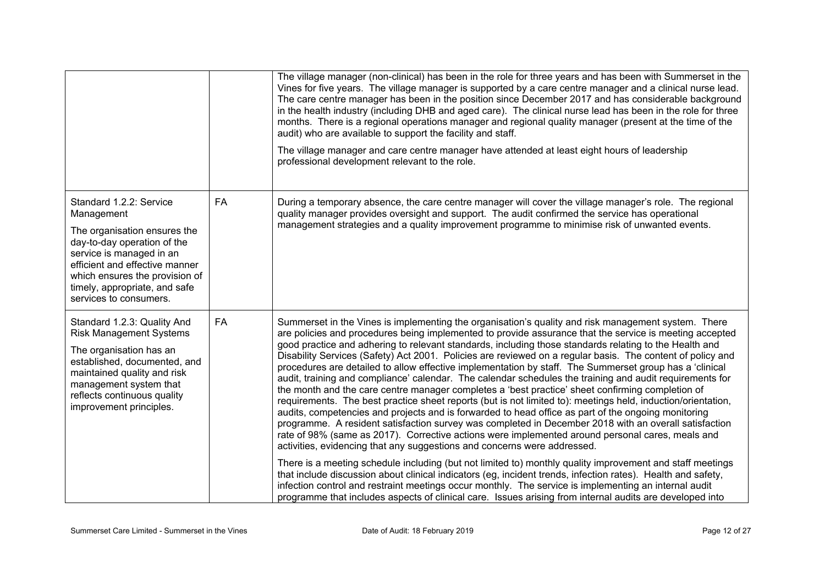|                                                                                                                                                                                                                                                                 |           | The village manager (non-clinical) has been in the role for three years and has been with Summerset in the<br>Vines for five years. The village manager is supported by a care centre manager and a clinical nurse lead.<br>The care centre manager has been in the position since December 2017 and has considerable background<br>in the health industry (including DHB and aged care). The clinical nurse lead has been in the role for three<br>months. There is a regional operations manager and regional quality manager (present at the time of the<br>audit) who are available to support the facility and staff.<br>The village manager and care centre manager have attended at least eight hours of leadership<br>professional development relevant to the role.                                                                                                                                                                                                                                                                                                                                                                                                                                                                                                      |
|-----------------------------------------------------------------------------------------------------------------------------------------------------------------------------------------------------------------------------------------------------------------|-----------|-----------------------------------------------------------------------------------------------------------------------------------------------------------------------------------------------------------------------------------------------------------------------------------------------------------------------------------------------------------------------------------------------------------------------------------------------------------------------------------------------------------------------------------------------------------------------------------------------------------------------------------------------------------------------------------------------------------------------------------------------------------------------------------------------------------------------------------------------------------------------------------------------------------------------------------------------------------------------------------------------------------------------------------------------------------------------------------------------------------------------------------------------------------------------------------------------------------------------------------------------------------------------------------|
| Standard 1.2.2: Service<br>Management<br>The organisation ensures the<br>day-to-day operation of the<br>service is managed in an<br>efficient and effective manner<br>which ensures the provision of<br>timely, appropriate, and safe<br>services to consumers. | <b>FA</b> | During a temporary absence, the care centre manager will cover the village manager's role. The regional<br>quality manager provides oversight and support. The audit confirmed the service has operational<br>management strategies and a quality improvement programme to minimise risk of unwanted events.                                                                                                                                                                                                                                                                                                                                                                                                                                                                                                                                                                                                                                                                                                                                                                                                                                                                                                                                                                      |
| Standard 1.2.3: Quality And<br><b>Risk Management Systems</b><br>The organisation has an<br>established, documented, and<br>maintained quality and risk<br>management system that<br>reflects continuous quality<br>improvement principles.                     | <b>FA</b> | Summerset in the Vines is implementing the organisation's quality and risk management system. There<br>are policies and procedures being implemented to provide assurance that the service is meeting accepted<br>good practice and adhering to relevant standards, including those standards relating to the Health and<br>Disability Services (Safety) Act 2001. Policies are reviewed on a regular basis. The content of policy and<br>procedures are detailed to allow effective implementation by staff. The Summerset group has a 'clinical<br>audit, training and compliance' calendar. The calendar schedules the training and audit requirements for<br>the month and the care centre manager completes a 'best practice' sheet confirming completion of<br>requirements. The best practice sheet reports (but is not limited to): meetings held, induction/orientation,<br>audits, competencies and projects and is forwarded to head office as part of the ongoing monitoring<br>programme. A resident satisfaction survey was completed in December 2018 with an overall satisfaction<br>rate of 98% (same as 2017). Corrective actions were implemented around personal cares, meals and<br>activities, evidencing that any suggestions and concerns were addressed. |
|                                                                                                                                                                                                                                                                 |           | There is a meeting schedule including (but not limited to) monthly quality improvement and staff meetings<br>that include discussion about clinical indicators (eg, incident trends, infection rates). Health and safety,<br>infection control and restraint meetings occur monthly. The service is implementing an internal audit<br>programme that includes aspects of clinical care. Issues arising from internal audits are developed into                                                                                                                                                                                                                                                                                                                                                                                                                                                                                                                                                                                                                                                                                                                                                                                                                                    |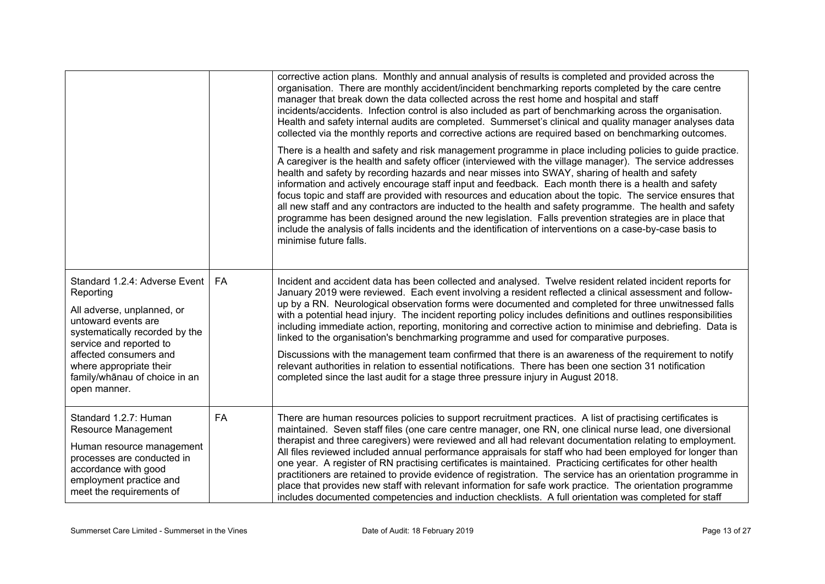|                                                                                                                                                                                                                                                                    |           | corrective action plans. Monthly and annual analysis of results is completed and provided across the<br>organisation. There are monthly accident/incident benchmarking reports completed by the care centre<br>manager that break down the data collected across the rest home and hospital and staff<br>incidents/accidents. Infection control is also included as part of benchmarking across the organisation.<br>Health and safety internal audits are completed. Summerset's clinical and quality manager analyses data<br>collected via the monthly reports and corrective actions are required based on benchmarking outcomes.<br>There is a health and safety and risk management programme in place including policies to guide practice.<br>A caregiver is the health and safety officer (interviewed with the village manager). The service addresses<br>health and safety by recording hazards and near misses into SWAY, sharing of health and safety<br>information and actively encourage staff input and feedback. Each month there is a health and safety<br>focus topic and staff are provided with resources and education about the topic. The service ensures that<br>all new staff and any contractors are inducted to the health and safety programme. The health and safety<br>programme has been designed around the new legislation. Falls prevention strategies are in place that<br>include the analysis of falls incidents and the identification of interventions on a case-by-case basis to<br>minimise future falls. |
|--------------------------------------------------------------------------------------------------------------------------------------------------------------------------------------------------------------------------------------------------------------------|-----------|------------------------------------------------------------------------------------------------------------------------------------------------------------------------------------------------------------------------------------------------------------------------------------------------------------------------------------------------------------------------------------------------------------------------------------------------------------------------------------------------------------------------------------------------------------------------------------------------------------------------------------------------------------------------------------------------------------------------------------------------------------------------------------------------------------------------------------------------------------------------------------------------------------------------------------------------------------------------------------------------------------------------------------------------------------------------------------------------------------------------------------------------------------------------------------------------------------------------------------------------------------------------------------------------------------------------------------------------------------------------------------------------------------------------------------------------------------------------------------------------------------------------------------------------------|
| Standard 1.2.4: Adverse Event<br>Reporting<br>All adverse, unplanned, or<br>untoward events are<br>systematically recorded by the<br>service and reported to<br>affected consumers and<br>where appropriate their<br>family/whānau of choice in an<br>open manner. | <b>FA</b> | Incident and accident data has been collected and analysed. Twelve resident related incident reports for<br>January 2019 were reviewed. Each event involving a resident reflected a clinical assessment and follow-<br>up by a RN. Neurological observation forms were documented and completed for three unwitnessed falls<br>with a potential head injury. The incident reporting policy includes definitions and outlines responsibilities<br>including immediate action, reporting, monitoring and corrective action to minimise and debriefing. Data is<br>linked to the organisation's benchmarking programme and used for comparative purposes.<br>Discussions with the management team confirmed that there is an awareness of the requirement to notify<br>relevant authorities in relation to essential notifications. There has been one section 31 notification<br>completed since the last audit for a stage three pressure injury in August 2018.                                                                                                                                                                                                                                                                                                                                                                                                                                                                                                                                                                                      |
| Standard 1.2.7: Human<br>Resource Management<br>Human resource management<br>processes are conducted in<br>accordance with good<br>employment practice and<br>meet the requirements of                                                                             | FA        | There are human resources policies to support recruitment practices. A list of practising certificates is<br>maintained. Seven staff files (one care centre manager, one RN, one clinical nurse lead, one diversional<br>therapist and three caregivers) were reviewed and all had relevant documentation relating to employment.<br>All files reviewed included annual performance appraisals for staff who had been employed for longer than<br>one year. A register of RN practising certificates is maintained. Practicing certificates for other health<br>practitioners are retained to provide evidence of registration. The service has an orientation programme in<br>place that provides new staff with relevant information for safe work practice. The orientation programme<br>includes documented competencies and induction checklists. A full orientation was completed for staff                                                                                                                                                                                                                                                                                                                                                                                                                                                                                                                                                                                                                                                    |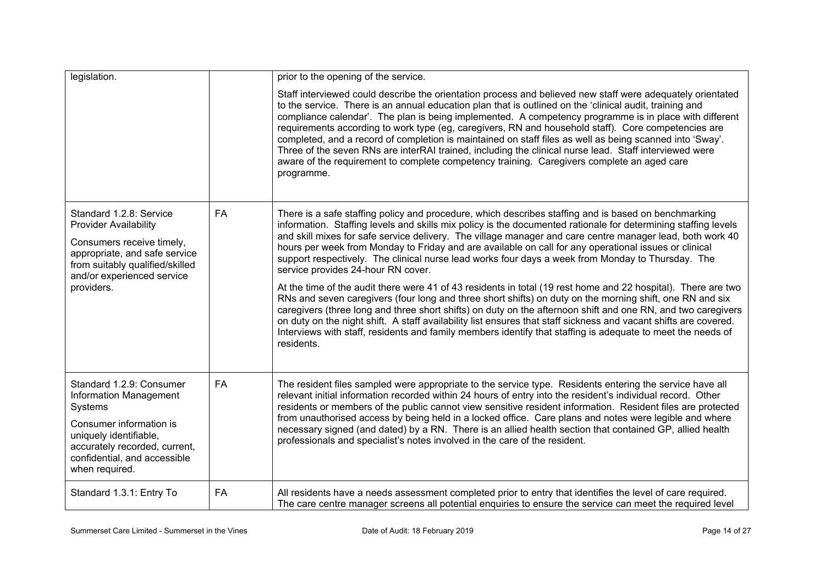| legislation.                                                                                                                                                                                          |           | prior to the opening of the service.                                                                                                                                                                                                                                                                                                                                                                                                                                                                                                                                                                                                                                                                                                                                                                                                                                                                                                                                                                                                                                                                                                                                                  |
|-------------------------------------------------------------------------------------------------------------------------------------------------------------------------------------------------------|-----------|---------------------------------------------------------------------------------------------------------------------------------------------------------------------------------------------------------------------------------------------------------------------------------------------------------------------------------------------------------------------------------------------------------------------------------------------------------------------------------------------------------------------------------------------------------------------------------------------------------------------------------------------------------------------------------------------------------------------------------------------------------------------------------------------------------------------------------------------------------------------------------------------------------------------------------------------------------------------------------------------------------------------------------------------------------------------------------------------------------------------------------------------------------------------------------------|
|                                                                                                                                                                                                       |           | Staff interviewed could describe the orientation process and believed new staff were adequately orientated<br>to the service. There is an annual education plan that is outlined on the 'clinical audit, training and<br>compliance calendar'. The plan is being implemented. A competency programme is in place with different<br>requirements according to work type (eg, caregivers, RN and household staff). Core competencies are<br>completed, and a record of completion is maintained on staff files as well as being scanned into 'Sway'.<br>Three of the seven RNs are interRAI trained, including the clinical nurse lead. Staff interviewed were<br>aware of the requirement to complete competency training. Caregivers complete an aged care<br>programme.                                                                                                                                                                                                                                                                                                                                                                                                              |
| Standard 1.2.8: Service<br><b>Provider Availability</b><br>Consumers receive timely,<br>appropriate, and safe service<br>from suitably qualified/skilled<br>and/or experienced service<br>providers.  | <b>FA</b> | There is a safe staffing policy and procedure, which describes staffing and is based on benchmarking<br>information. Staffing levels and skills mix policy is the documented rationale for determining staffing levels<br>and skill mixes for safe service delivery. The village manager and care centre manager lead, both work 40<br>hours per week from Monday to Friday and are available on call for any operational issues or clinical<br>support respectively. The clinical nurse lead works four days a week from Monday to Thursday. The<br>service provides 24-hour RN cover.<br>At the time of the audit there were 41 of 43 residents in total (19 rest home and 22 hospital). There are two<br>RNs and seven caregivers (four long and three short shifts) on duty on the morning shift, one RN and six<br>caregivers (three long and three short shifts) on duty on the afternoon shift and one RN, and two caregivers<br>on duty on the night shift. A staff availability list ensures that staff sickness and vacant shifts are covered.<br>Interviews with staff, residents and family members identify that staffing is adequate to meet the needs of<br>residents. |
| Standard 1.2.9: Consumer<br>Information Management<br>Systems<br>Consumer information is<br>uniquely identifiable,<br>accurately recorded, current,<br>confidential, and accessible<br>when required. | <b>FA</b> | The resident files sampled were appropriate to the service type. Residents entering the service have all<br>relevant initial information recorded within 24 hours of entry into the resident's individual record. Other<br>residents or members of the public cannot view sensitive resident information. Resident files are protected<br>from unauthorised access by being held in a locked office. Care plans and notes were legible and where<br>necessary signed (and dated) by a RN. There is an allied health section that contained GP, allied health<br>professionals and specialist's notes involved in the care of the resident.                                                                                                                                                                                                                                                                                                                                                                                                                                                                                                                                            |
| Standard 1.3.1: Entry To                                                                                                                                                                              | <b>FA</b> | All residents have a needs assessment completed prior to entry that identifies the level of care required.<br>The care centre manager screens all potential enquiries to ensure the service can meet the required level                                                                                                                                                                                                                                                                                                                                                                                                                                                                                                                                                                                                                                                                                                                                                                                                                                                                                                                                                               |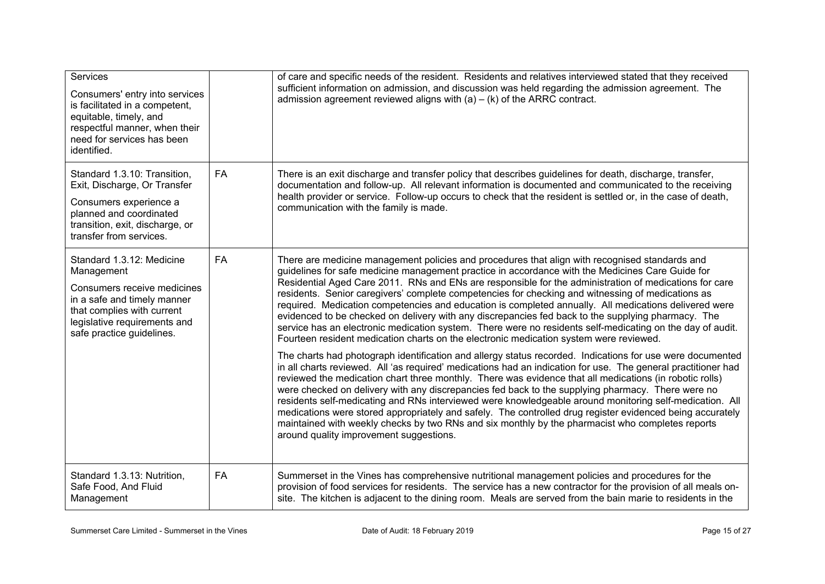| Services<br>Consumers' entry into services<br>is facilitated in a competent,<br>equitable, timely, and<br>respectful manner, when their<br>need for services has been<br>identified.             |           | of care and specific needs of the resident. Residents and relatives interviewed stated that they received<br>sufficient information on admission, and discussion was held regarding the admission agreement. The<br>admission agreement reviewed aligns with $(a) - (k)$ of the ARRC contract.                                                                                                                                                                                                                                                                                                                                                                                                                                                                                                                                          |
|--------------------------------------------------------------------------------------------------------------------------------------------------------------------------------------------------|-----------|-----------------------------------------------------------------------------------------------------------------------------------------------------------------------------------------------------------------------------------------------------------------------------------------------------------------------------------------------------------------------------------------------------------------------------------------------------------------------------------------------------------------------------------------------------------------------------------------------------------------------------------------------------------------------------------------------------------------------------------------------------------------------------------------------------------------------------------------|
| Standard 1.3.10: Transition,<br>Exit, Discharge, Or Transfer<br>Consumers experience a<br>planned and coordinated<br>transition, exit, discharge, or<br>transfer from services.                  | <b>FA</b> | There is an exit discharge and transfer policy that describes guidelines for death, discharge, transfer,<br>documentation and follow-up. All relevant information is documented and communicated to the receiving<br>health provider or service. Follow-up occurs to check that the resident is settled or, in the case of death,<br>communication with the family is made.                                                                                                                                                                                                                                                                                                                                                                                                                                                             |
| Standard 1.3.12: Medicine<br>Management<br>Consumers receive medicines<br>in a safe and timely manner<br>that complies with current<br>legislative requirements and<br>safe practice guidelines. | FA        | There are medicine management policies and procedures that align with recognised standards and<br>guidelines for safe medicine management practice in accordance with the Medicines Care Guide for<br>Residential Aged Care 2011. RNs and ENs are responsible for the administration of medications for care<br>residents. Senior caregivers' complete competencies for checking and witnessing of medications as<br>required. Medication competencies and education is completed annually. All medications delivered were<br>evidenced to be checked on delivery with any discrepancies fed back to the supplying pharmacy. The<br>service has an electronic medication system. There were no residents self-medicating on the day of audit.<br>Fourteen resident medication charts on the electronic medication system were reviewed. |
|                                                                                                                                                                                                  |           | The charts had photograph identification and allergy status recorded. Indications for use were documented<br>in all charts reviewed. All 'as required' medications had an indication for use. The general practitioner had<br>reviewed the medication chart three monthly. There was evidence that all medications (in robotic rolls)<br>were checked on delivery with any discrepancies fed back to the supplying pharmacy. There were no<br>residents self-medicating and RNs interviewed were knowledgeable around monitoring self-medication. All<br>medications were stored appropriately and safely. The controlled drug register evidenced being accurately<br>maintained with weekly checks by two RNs and six monthly by the pharmacist who completes reports<br>around quality improvement suggestions.                       |
| Standard 1.3.13: Nutrition,<br>Safe Food, And Fluid<br>Management                                                                                                                                | <b>FA</b> | Summerset in the Vines has comprehensive nutritional management policies and procedures for the<br>provision of food services for residents. The service has a new contractor for the provision of all meals on-<br>site. The kitchen is adjacent to the dining room. Meals are served from the bain marie to residents in the                                                                                                                                                                                                                                                                                                                                                                                                                                                                                                          |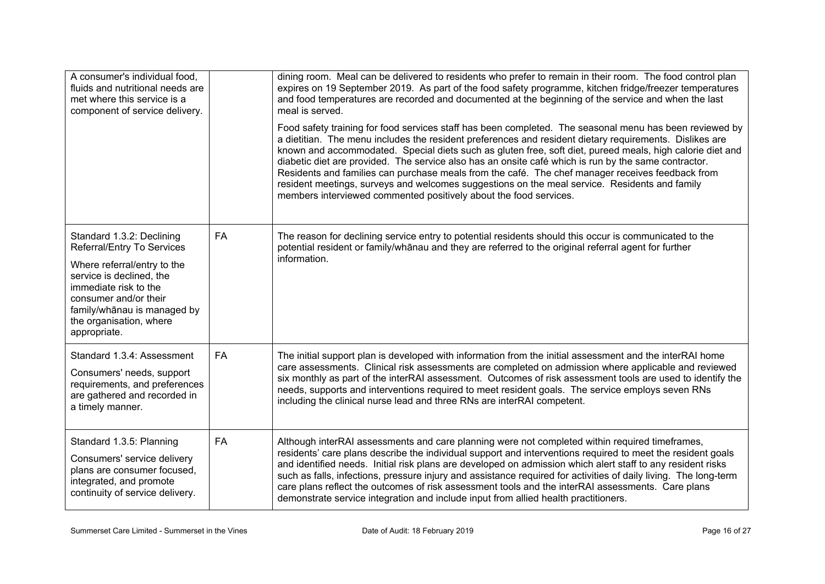| A consumer's individual food,<br>fluids and nutritional needs are<br>met where this service is a<br>component of service delivery.                                                                                                             |    | dining room. Meal can be delivered to residents who prefer to remain in their room. The food control plan<br>expires on 19 September 2019. As part of the food safety programme, kitchen fridge/freezer temperatures<br>and food temperatures are recorded and documented at the beginning of the service and when the last<br>meal is served.<br>Food safety training for food services staff has been completed. The seasonal menu has been reviewed by<br>a dietitian. The menu includes the resident preferences and resident dietary requirements. Dislikes are<br>known and accommodated. Special diets such as gluten free, soft diet, pureed meals, high calorie diet and<br>diabetic diet are provided. The service also has an onsite café which is run by the same contractor.<br>Residents and families can purchase meals from the café. The chef manager receives feedback from<br>resident meetings, surveys and welcomes suggestions on the meal service. Residents and family<br>members interviewed commented positively about the food services. |
|------------------------------------------------------------------------------------------------------------------------------------------------------------------------------------------------------------------------------------------------|----|---------------------------------------------------------------------------------------------------------------------------------------------------------------------------------------------------------------------------------------------------------------------------------------------------------------------------------------------------------------------------------------------------------------------------------------------------------------------------------------------------------------------------------------------------------------------------------------------------------------------------------------------------------------------------------------------------------------------------------------------------------------------------------------------------------------------------------------------------------------------------------------------------------------------------------------------------------------------------------------------------------------------------------------------------------------------|
| Standard 1.3.2: Declining<br>Referral/Entry To Services<br>Where referral/entry to the<br>service is declined, the<br>immediate risk to the<br>consumer and/or their<br>family/whānau is managed by<br>the organisation, where<br>appropriate. | FA | The reason for declining service entry to potential residents should this occur is communicated to the<br>potential resident or family/whanau and they are referred to the original referral agent for further<br>information.                                                                                                                                                                                                                                                                                                                                                                                                                                                                                                                                                                                                                                                                                                                                                                                                                                      |
| Standard 1.3.4: Assessment<br>Consumers' needs, support<br>requirements, and preferences<br>are gathered and recorded in<br>a timely manner.                                                                                                   | FA | The initial support plan is developed with information from the initial assessment and the interRAI home<br>care assessments. Clinical risk assessments are completed on admission where applicable and reviewed<br>six monthly as part of the interRAI assessment. Outcomes of risk assessment tools are used to identify the<br>needs, supports and interventions required to meet resident goals. The service employs seven RNs<br>including the clinical nurse lead and three RNs are interRAI competent.                                                                                                                                                                                                                                                                                                                                                                                                                                                                                                                                                       |
| Standard 1.3.5: Planning<br>Consumers' service delivery<br>plans are consumer focused,<br>integrated, and promote<br>continuity of service delivery.                                                                                           | FA | Although interRAI assessments and care planning were not completed within required timeframes,<br>residents' care plans describe the individual support and interventions required to meet the resident goals<br>and identified needs. Initial risk plans are developed on admission which alert staff to any resident risks<br>such as falls, infections, pressure injury and assistance required for activities of daily living. The long-term<br>care plans reflect the outcomes of risk assessment tools and the interRAI assessments. Care plans<br>demonstrate service integration and include input from allied health practitioners.                                                                                                                                                                                                                                                                                                                                                                                                                        |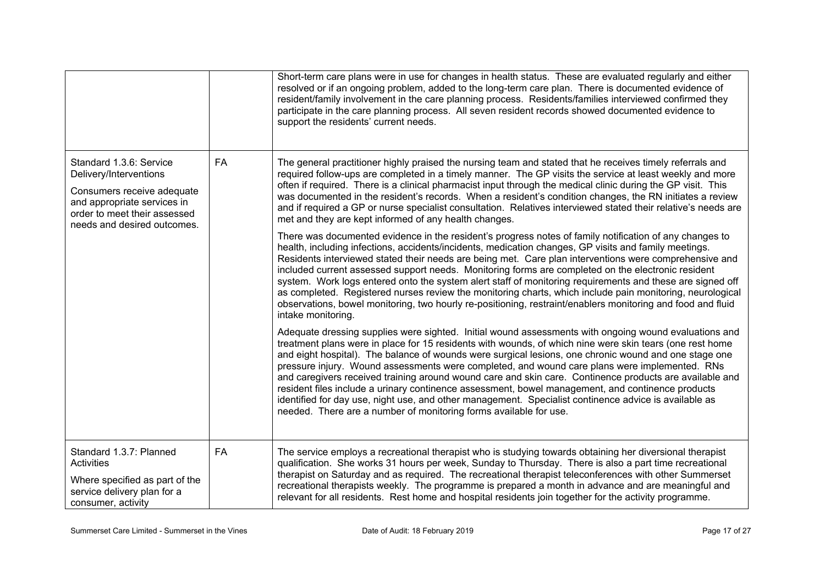|                                                                                                                                                                               |           | Short-term care plans were in use for changes in health status. These are evaluated regularly and either<br>resolved or if an ongoing problem, added to the long-term care plan. There is documented evidence of<br>resident/family involvement in the care planning process. Residents/families interviewed confirmed they<br>participate in the care planning process. All seven resident records showed documented evidence to<br>support the residents' current needs.                                                                                                                                                                                                                                                                                                                                                |
|-------------------------------------------------------------------------------------------------------------------------------------------------------------------------------|-----------|---------------------------------------------------------------------------------------------------------------------------------------------------------------------------------------------------------------------------------------------------------------------------------------------------------------------------------------------------------------------------------------------------------------------------------------------------------------------------------------------------------------------------------------------------------------------------------------------------------------------------------------------------------------------------------------------------------------------------------------------------------------------------------------------------------------------------|
| Standard 1.3.6: Service<br>Delivery/Interventions<br>Consumers receive adequate<br>and appropriate services in<br>order to meet their assessed<br>needs and desired outcomes. | FA        | The general practitioner highly praised the nursing team and stated that he receives timely referrals and<br>required follow-ups are completed in a timely manner. The GP visits the service at least weekly and more<br>often if required. There is a clinical pharmacist input through the medical clinic during the GP visit. This<br>was documented in the resident's records. When a resident's condition changes, the RN initiates a review<br>and if required a GP or nurse specialist consultation. Relatives interviewed stated their relative's needs are<br>met and they are kept informed of any health changes.                                                                                                                                                                                              |
|                                                                                                                                                                               |           | There was documented evidence in the resident's progress notes of family notification of any changes to<br>health, including infections, accidents/incidents, medication changes, GP visits and family meetings.<br>Residents interviewed stated their needs are being met. Care plan interventions were comprehensive and<br>included current assessed support needs. Monitoring forms are completed on the electronic resident<br>system. Work logs entered onto the system alert staff of monitoring requirements and these are signed off<br>as completed. Registered nurses review the monitoring charts, which include pain monitoring, neurological<br>observations, bowel monitoring, two hourly re-positioning, restraint/enablers monitoring and food and fluid<br>intake monitoring.                           |
|                                                                                                                                                                               |           | Adequate dressing supplies were sighted. Initial wound assessments with ongoing wound evaluations and<br>treatment plans were in place for 15 residents with wounds, of which nine were skin tears (one rest home<br>and eight hospital). The balance of wounds were surgical lesions, one chronic wound and one stage one<br>pressure injury. Wound assessments were completed, and wound care plans were implemented. RNs<br>and caregivers received training around wound care and skin care. Continence products are available and<br>resident files include a urinary continence assessment, bowel management, and continence products<br>identified for day use, night use, and other management. Specialist continence advice is available as<br>needed. There are a number of monitoring forms available for use. |
| Standard 1.3.7: Planned<br><b>Activities</b><br>Where specified as part of the<br>service delivery plan for a<br>consumer, activity                                           | <b>FA</b> | The service employs a recreational therapist who is studying towards obtaining her diversional therapist<br>qualification. She works 31 hours per week, Sunday to Thursday. There is also a part time recreational<br>therapist on Saturday and as required. The recreational therapist teleconferences with other Summerset<br>recreational therapists weekly. The programme is prepared a month in advance and are meaningful and<br>relevant for all residents. Rest home and hospital residents join together for the activity programme.                                                                                                                                                                                                                                                                             |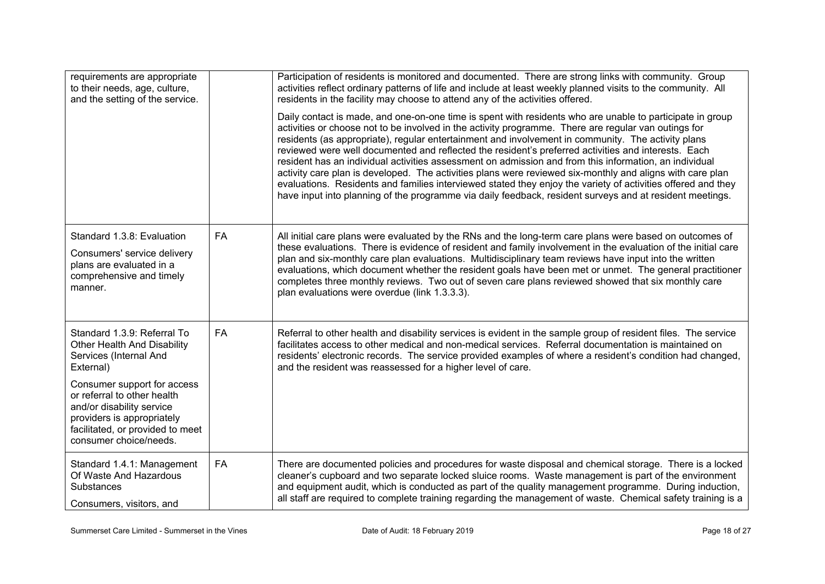| requirements are appropriate<br>to their needs, age, culture,<br>and the setting of the service.                                                                                    |           | Participation of residents is monitored and documented. There are strong links with community. Group<br>activities reflect ordinary patterns of life and include at least weekly planned visits to the community. All<br>residents in the facility may choose to attend any of the activities offered.                                                                                                                                                                                                                                                                                                                                                                                                                                                                                                                                                                            |
|-------------------------------------------------------------------------------------------------------------------------------------------------------------------------------------|-----------|-----------------------------------------------------------------------------------------------------------------------------------------------------------------------------------------------------------------------------------------------------------------------------------------------------------------------------------------------------------------------------------------------------------------------------------------------------------------------------------------------------------------------------------------------------------------------------------------------------------------------------------------------------------------------------------------------------------------------------------------------------------------------------------------------------------------------------------------------------------------------------------|
|                                                                                                                                                                                     |           | Daily contact is made, and one-on-one time is spent with residents who are unable to participate in group<br>activities or choose not to be involved in the activity programme. There are regular van outings for<br>residents (as appropriate), regular entertainment and involvement in community. The activity plans<br>reviewed were well documented and reflected the resident's preferred activities and interests. Each<br>resident has an individual activities assessment on admission and from this information, an individual<br>activity care plan is developed. The activities plans were reviewed six-monthly and aligns with care plan<br>evaluations. Residents and families interviewed stated they enjoy the variety of activities offered and they<br>have input into planning of the programme via daily feedback, resident surveys and at resident meetings. |
| Standard 1.3.8: Evaluation<br>Consumers' service delivery<br>plans are evaluated in a<br>comprehensive and timely<br>manner.                                                        | <b>FA</b> | All initial care plans were evaluated by the RNs and the long-term care plans were based on outcomes of<br>these evaluations. There is evidence of resident and family involvement in the evaluation of the initial care<br>plan and six-monthly care plan evaluations. Multidisciplinary team reviews have input into the written<br>evaluations, which document whether the resident goals have been met or unmet. The general practitioner<br>completes three monthly reviews. Two out of seven care plans reviewed showed that six monthly care<br>plan evaluations were overdue (link 1.3.3.3).                                                                                                                                                                                                                                                                              |
| Standard 1.3.9: Referral To<br>Other Health And Disability<br>Services (Internal And<br>External)                                                                                   | <b>FA</b> | Referral to other health and disability services is evident in the sample group of resident files. The service<br>facilitates access to other medical and non-medical services. Referral documentation is maintained on<br>residents' electronic records. The service provided examples of where a resident's condition had changed,<br>and the resident was reassessed for a higher level of care.                                                                                                                                                                                                                                                                                                                                                                                                                                                                               |
| Consumer support for access<br>or referral to other health<br>and/or disability service<br>providers is appropriately<br>facilitated, or provided to meet<br>consumer choice/needs. |           |                                                                                                                                                                                                                                                                                                                                                                                                                                                                                                                                                                                                                                                                                                                                                                                                                                                                                   |
| Standard 1.4.1: Management<br>Of Waste And Hazardous<br><b>Substances</b><br>Consumers, visitors, and                                                                               | <b>FA</b> | There are documented policies and procedures for waste disposal and chemical storage. There is a locked<br>cleaner's cupboard and two separate locked sluice rooms. Waste management is part of the environment<br>and equipment audit, which is conducted as part of the quality management programme. During induction,<br>all staff are required to complete training regarding the management of waste. Chemical safety training is a                                                                                                                                                                                                                                                                                                                                                                                                                                         |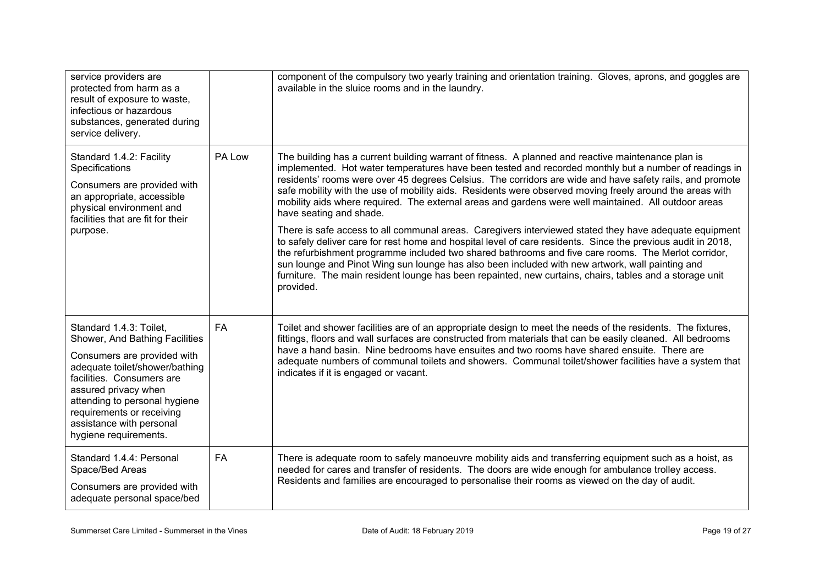| service providers are<br>protected from harm as a<br>result of exposure to waste,<br>infectious or hazardous<br>substances, generated during<br>service delivery.                                                                                                                                  |           | component of the compulsory two yearly training and orientation training. Gloves, aprons, and goggles are<br>available in the sluice rooms and in the laundry.                                                                                                                                                                                                                                                                                                                                                                                                                                                                                                                                                                                                                                                                                                                                                                                                                                                                                                                                                                     |
|----------------------------------------------------------------------------------------------------------------------------------------------------------------------------------------------------------------------------------------------------------------------------------------------------|-----------|------------------------------------------------------------------------------------------------------------------------------------------------------------------------------------------------------------------------------------------------------------------------------------------------------------------------------------------------------------------------------------------------------------------------------------------------------------------------------------------------------------------------------------------------------------------------------------------------------------------------------------------------------------------------------------------------------------------------------------------------------------------------------------------------------------------------------------------------------------------------------------------------------------------------------------------------------------------------------------------------------------------------------------------------------------------------------------------------------------------------------------|
| Standard 1.4.2: Facility<br>Specifications<br>Consumers are provided with<br>an appropriate, accessible<br>physical environment and<br>facilities that are fit for their<br>purpose.                                                                                                               | PA Low    | The building has a current building warrant of fitness. A planned and reactive maintenance plan is<br>implemented. Hot water temperatures have been tested and recorded monthly but a number of readings in<br>residents' rooms were over 45 degrees Celsius. The corridors are wide and have safety rails, and promote<br>safe mobility with the use of mobility aids. Residents were observed moving freely around the areas with<br>mobility aids where required. The external areas and gardens were well maintained. All outdoor areas<br>have seating and shade.<br>There is safe access to all communal areas. Caregivers interviewed stated they have adequate equipment<br>to safely deliver care for rest home and hospital level of care residents. Since the previous audit in 2018,<br>the refurbishment programme included two shared bathrooms and five care rooms. The Merlot corridor,<br>sun lounge and Pinot Wing sun lounge has also been included with new artwork, wall painting and<br>furniture. The main resident lounge has been repainted, new curtains, chairs, tables and a storage unit<br>provided. |
| Standard 1.4.3: Toilet,<br>Shower, And Bathing Facilities<br>Consumers are provided with<br>adequate toilet/shower/bathing<br>facilities. Consumers are<br>assured privacy when<br>attending to personal hygiene<br>requirements or receiving<br>assistance with personal<br>hygiene requirements. | <b>FA</b> | Toilet and shower facilities are of an appropriate design to meet the needs of the residents. The fixtures,<br>fittings, floors and wall surfaces are constructed from materials that can be easily cleaned. All bedrooms<br>have a hand basin. Nine bedrooms have ensuites and two rooms have shared ensuite. There are<br>adequate numbers of communal toilets and showers. Communal toilet/shower facilities have a system that<br>indicates if it is engaged or vacant.                                                                                                                                                                                                                                                                                                                                                                                                                                                                                                                                                                                                                                                        |
| Standard 1.4.4: Personal<br>Space/Bed Areas<br>Consumers are provided with<br>adequate personal space/bed                                                                                                                                                                                          | <b>FA</b> | There is adequate room to safely manoeuvre mobility aids and transferring equipment such as a hoist, as<br>needed for cares and transfer of residents. The doors are wide enough for ambulance trolley access.<br>Residents and families are encouraged to personalise their rooms as viewed on the day of audit.                                                                                                                                                                                                                                                                                                                                                                                                                                                                                                                                                                                                                                                                                                                                                                                                                  |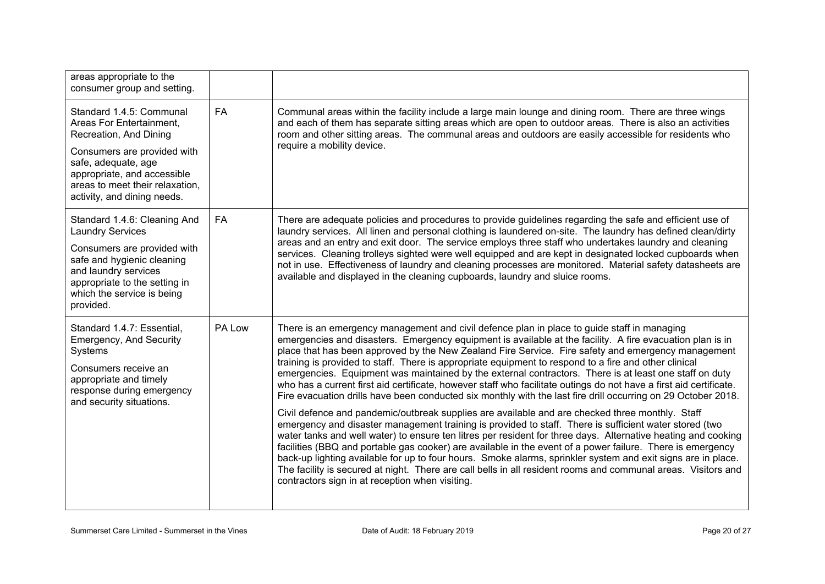| areas appropriate to the<br>consumer group and setting.                                                                                                                                                                               |           |                                                                                                                                                                                                                                                                                                                                                                                                                                                                                                                                                                                                                                                                                                                                                                                                                                                                                                                                                                                                                                                                                                                                                                                                                                                                                                                                                                                                                                                                                                          |
|---------------------------------------------------------------------------------------------------------------------------------------------------------------------------------------------------------------------------------------|-----------|----------------------------------------------------------------------------------------------------------------------------------------------------------------------------------------------------------------------------------------------------------------------------------------------------------------------------------------------------------------------------------------------------------------------------------------------------------------------------------------------------------------------------------------------------------------------------------------------------------------------------------------------------------------------------------------------------------------------------------------------------------------------------------------------------------------------------------------------------------------------------------------------------------------------------------------------------------------------------------------------------------------------------------------------------------------------------------------------------------------------------------------------------------------------------------------------------------------------------------------------------------------------------------------------------------------------------------------------------------------------------------------------------------------------------------------------------------------------------------------------------------|
| Standard 1.4.5: Communal<br>Areas For Entertainment,<br>Recreation, And Dining<br>Consumers are provided with<br>safe, adequate, age<br>appropriate, and accessible<br>areas to meet their relaxation,<br>activity, and dining needs. | <b>FA</b> | Communal areas within the facility include a large main lounge and dining room. There are three wings<br>and each of them has separate sitting areas which are open to outdoor areas. There is also an activities<br>room and other sitting areas. The communal areas and outdoors are easily accessible for residents who<br>require a mobility device.                                                                                                                                                                                                                                                                                                                                                                                                                                                                                                                                                                                                                                                                                                                                                                                                                                                                                                                                                                                                                                                                                                                                                 |
| Standard 1.4.6: Cleaning And<br><b>Laundry Services</b><br>Consumers are provided with<br>safe and hygienic cleaning<br>and laundry services<br>appropriate to the setting in<br>which the service is being<br>provided.              | <b>FA</b> | There are adequate policies and procedures to provide guidelines regarding the safe and efficient use of<br>laundry services. All linen and personal clothing is laundered on-site. The laundry has defined clean/dirty<br>areas and an entry and exit door. The service employs three staff who undertakes laundry and cleaning<br>services. Cleaning trolleys sighted were well equipped and are kept in designated locked cupboards when<br>not in use. Effectiveness of laundry and cleaning processes are monitored. Material safety datasheets are<br>available and displayed in the cleaning cupboards, laundry and sluice rooms.                                                                                                                                                                                                                                                                                                                                                                                                                                                                                                                                                                                                                                                                                                                                                                                                                                                                 |
| Standard 1.4.7: Essential,<br><b>Emergency, And Security</b><br>Systems<br>Consumers receive an<br>appropriate and timely<br>response during emergency<br>and security situations.                                                    | PA Low    | There is an emergency management and civil defence plan in place to guide staff in managing<br>emergencies and disasters. Emergency equipment is available at the facility. A fire evacuation plan is in<br>place that has been approved by the New Zealand Fire Service. Fire safety and emergency management<br>training is provided to staff. There is appropriate equipment to respond to a fire and other clinical<br>emergencies. Equipment was maintained by the external contractors. There is at least one staff on duty<br>who has a current first aid certificate, however staff who facilitate outings do not have a first aid certificate.<br>Fire evacuation drills have been conducted six monthly with the last fire drill occurring on 29 October 2018.<br>Civil defence and pandemic/outbreak supplies are available and are checked three monthly. Staff<br>emergency and disaster management training is provided to staff. There is sufficient water stored (two<br>water tanks and well water) to ensure ten litres per resident for three days. Alternative heating and cooking<br>facilities (BBQ and portable gas cooker) are available in the event of a power failure. There is emergency<br>back-up lighting available for up to four hours. Smoke alarms, sprinkler system and exit signs are in place.<br>The facility is secured at night. There are call bells in all resident rooms and communal areas. Visitors and<br>contractors sign in at reception when visiting. |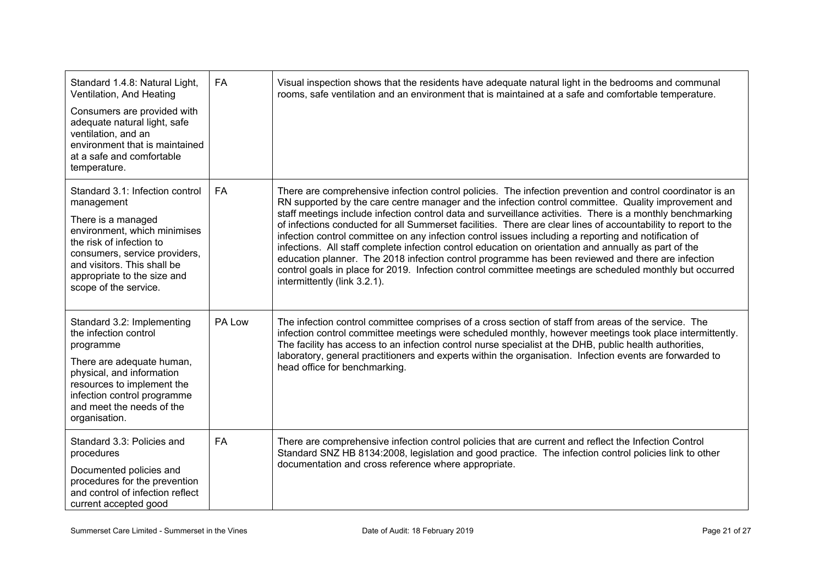| Standard 1.4.8: Natural Light,<br>Ventilation, And Heating<br>Consumers are provided with<br>adequate natural light, safe<br>ventilation, and an<br>environment that is maintained<br>at a safe and comfortable<br>temperature.                         | FA        | Visual inspection shows that the residents have adequate natural light in the bedrooms and communal<br>rooms, safe ventilation and an environment that is maintained at a safe and comfortable temperature.                                                                                                                                                                                                                                                                                                                                                                                                                                                                                                                                                                                                                                                                                                           |
|---------------------------------------------------------------------------------------------------------------------------------------------------------------------------------------------------------------------------------------------------------|-----------|-----------------------------------------------------------------------------------------------------------------------------------------------------------------------------------------------------------------------------------------------------------------------------------------------------------------------------------------------------------------------------------------------------------------------------------------------------------------------------------------------------------------------------------------------------------------------------------------------------------------------------------------------------------------------------------------------------------------------------------------------------------------------------------------------------------------------------------------------------------------------------------------------------------------------|
| Standard 3.1: Infection control<br>management<br>There is a managed<br>environment, which minimises<br>the risk of infection to<br>consumers, service providers,<br>and visitors. This shall be<br>appropriate to the size and<br>scope of the service. | FA        | There are comprehensive infection control policies. The infection prevention and control coordinator is an<br>RN supported by the care centre manager and the infection control committee. Quality improvement and<br>staff meetings include infection control data and surveillance activities. There is a monthly benchmarking<br>of infections conducted for all Summerset facilities. There are clear lines of accountability to report to the<br>infection control committee on any infection control issues including a reporting and notification of<br>infections. All staff complete infection control education on orientation and annually as part of the<br>education planner. The 2018 infection control programme has been reviewed and there are infection<br>control goals in place for 2019. Infection control committee meetings are scheduled monthly but occurred<br>intermittently (link 3.2.1). |
| Standard 3.2: Implementing<br>the infection control<br>programme<br>There are adequate human,<br>physical, and information<br>resources to implement the<br>infection control programme<br>and meet the needs of the<br>organisation.                   | PA Low    | The infection control committee comprises of a cross section of staff from areas of the service. The<br>infection control committee meetings were scheduled monthly, however meetings took place intermittently.<br>The facility has access to an infection control nurse specialist at the DHB, public health authorities,<br>laboratory, general practitioners and experts within the organisation. Infection events are forwarded to<br>head office for benchmarking.                                                                                                                                                                                                                                                                                                                                                                                                                                              |
| Standard 3.3: Policies and<br>procedures<br>Documented policies and<br>procedures for the prevention<br>and control of infection reflect<br>current accepted good                                                                                       | <b>FA</b> | There are comprehensive infection control policies that are current and reflect the Infection Control<br>Standard SNZ HB 8134:2008, legislation and good practice. The infection control policies link to other<br>documentation and cross reference where appropriate.                                                                                                                                                                                                                                                                                                                                                                                                                                                                                                                                                                                                                                               |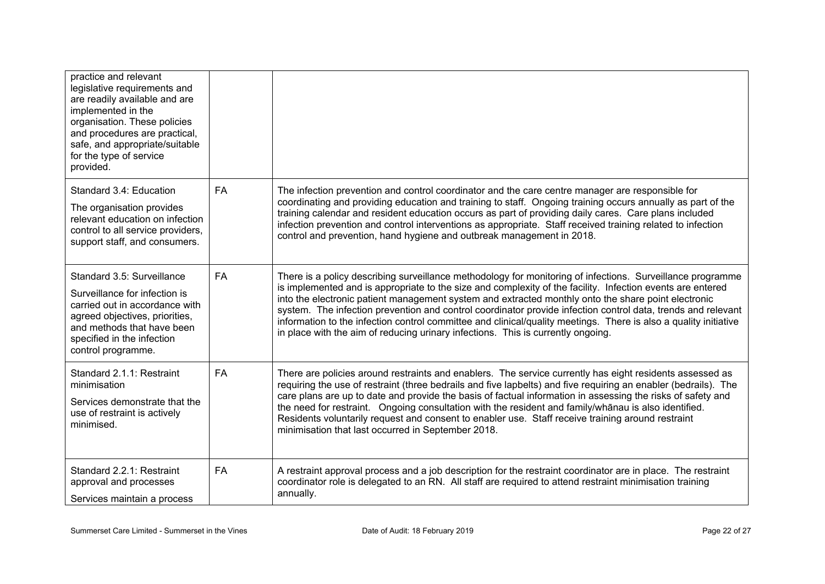| practice and relevant<br>legislative requirements and<br>are readily available and are<br>implemented in the<br>organisation. These policies<br>and procedures are practical,<br>safe, and appropriate/suitable<br>for the type of service<br>provided. |           |                                                                                                                                                                                                                                                                                                                                                                                                                                                                                                                                                                                                                                                         |
|---------------------------------------------------------------------------------------------------------------------------------------------------------------------------------------------------------------------------------------------------------|-----------|---------------------------------------------------------------------------------------------------------------------------------------------------------------------------------------------------------------------------------------------------------------------------------------------------------------------------------------------------------------------------------------------------------------------------------------------------------------------------------------------------------------------------------------------------------------------------------------------------------------------------------------------------------|
| Standard 3.4: Education<br>The organisation provides<br>relevant education on infection<br>control to all service providers,<br>support staff, and consumers.                                                                                           | <b>FA</b> | The infection prevention and control coordinator and the care centre manager are responsible for<br>coordinating and providing education and training to staff. Ongoing training occurs annually as part of the<br>training calendar and resident education occurs as part of providing daily cares. Care plans included<br>infection prevention and control interventions as appropriate. Staff received training related to infection<br>control and prevention, hand hygiene and outbreak management in 2018.                                                                                                                                        |
| Standard 3.5: Surveillance<br>Surveillance for infection is<br>carried out in accordance with<br>agreed objectives, priorities,<br>and methods that have been<br>specified in the infection<br>control programme.                                       | <b>FA</b> | There is a policy describing surveillance methodology for monitoring of infections. Surveillance programme<br>is implemented and is appropriate to the size and complexity of the facility. Infection events are entered<br>into the electronic patient management system and extracted monthly onto the share point electronic<br>system. The infection prevention and control coordinator provide infection control data, trends and relevant<br>information to the infection control committee and clinical/quality meetings. There is also a quality initiative<br>in place with the aim of reducing urinary infections. This is currently ongoing. |
| Standard 2.1.1: Restraint<br>minimisation<br>Services demonstrate that the<br>use of restraint is actively<br>minimised.                                                                                                                                | <b>FA</b> | There are policies around restraints and enablers. The service currently has eight residents assessed as<br>requiring the use of restraint (three bedrails and five lapbelts) and five requiring an enabler (bedrails). The<br>care plans are up to date and provide the basis of factual information in assessing the risks of safety and<br>the need for restraint. Ongoing consultation with the resident and family/whanau is also identified.<br>Residents voluntarily request and consent to enabler use. Staff receive training around restraint<br>minimisation that last occurred in September 2018.                                           |
| Standard 2.2.1: Restraint<br>approval and processes<br>Services maintain a process                                                                                                                                                                      | FA        | A restraint approval process and a job description for the restraint coordinator are in place. The restraint<br>coordinator role is delegated to an RN. All staff are required to attend restraint minimisation training<br>annually.                                                                                                                                                                                                                                                                                                                                                                                                                   |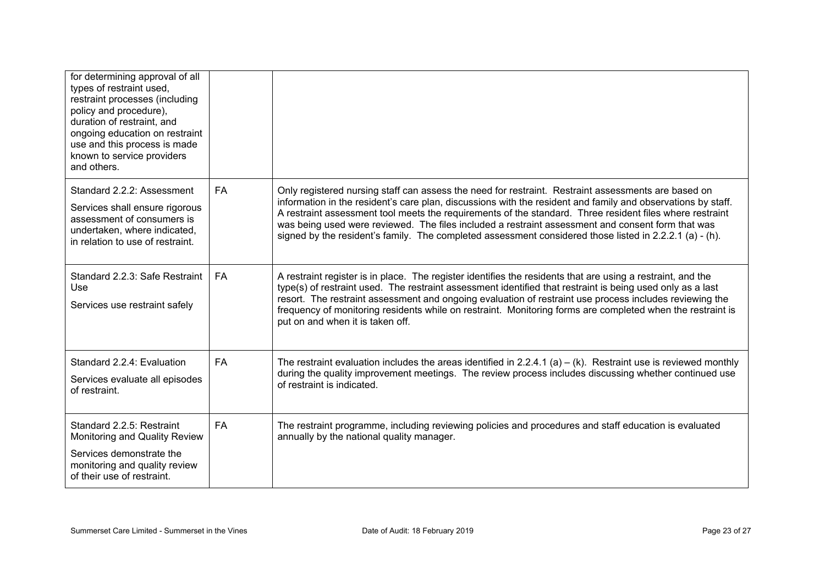| for determining approval of all<br>types of restraint used,<br>restraint processes (including<br>policy and procedure),<br>duration of restraint, and<br>ongoing education on restraint<br>use and this process is made<br>known to service providers<br>and others. |           |                                                                                                                                                                                                                                                                                                                                                                                                                                                                                                                                                   |
|----------------------------------------------------------------------------------------------------------------------------------------------------------------------------------------------------------------------------------------------------------------------|-----------|---------------------------------------------------------------------------------------------------------------------------------------------------------------------------------------------------------------------------------------------------------------------------------------------------------------------------------------------------------------------------------------------------------------------------------------------------------------------------------------------------------------------------------------------------|
| Standard 2.2.2: Assessment<br>Services shall ensure rigorous<br>assessment of consumers is<br>undertaken, where indicated,<br>in relation to use of restraint.                                                                                                       | <b>FA</b> | Only registered nursing staff can assess the need for restraint. Restraint assessments are based on<br>information in the resident's care plan, discussions with the resident and family and observations by staff.<br>A restraint assessment tool meets the requirements of the standard. Three resident files where restraint<br>was being used were reviewed. The files included a restraint assessment and consent form that was<br>signed by the resident's family. The completed assessment considered those listed in $2.2.2.1$ (a) - (h). |
| Standard 2.2.3: Safe Restraint<br><b>Use</b><br>Services use restraint safely                                                                                                                                                                                        | <b>FA</b> | A restraint register is in place. The register identifies the residents that are using a restraint, and the<br>type(s) of restraint used. The restraint assessment identified that restraint is being used only as a last<br>resort. The restraint assessment and ongoing evaluation of restraint use process includes reviewing the<br>frequency of monitoring residents while on restraint. Monitoring forms are completed when the restraint is<br>put on and when it is taken off.                                                            |
| Standard 2.2.4: Evaluation<br>Services evaluate all episodes<br>of restraint.                                                                                                                                                                                        | FA        | The restraint evaluation includes the areas identified in $2.2.4.1$ (a) – (k). Restraint use is reviewed monthly<br>during the quality improvement meetings. The review process includes discussing whether continued use<br>of restraint is indicated.                                                                                                                                                                                                                                                                                           |
| Standard 2.2.5: Restraint<br>Monitoring and Quality Review<br>Services demonstrate the<br>monitoring and quality review<br>of their use of restraint.                                                                                                                | <b>FA</b> | The restraint programme, including reviewing policies and procedures and staff education is evaluated<br>annually by the national quality manager.                                                                                                                                                                                                                                                                                                                                                                                                |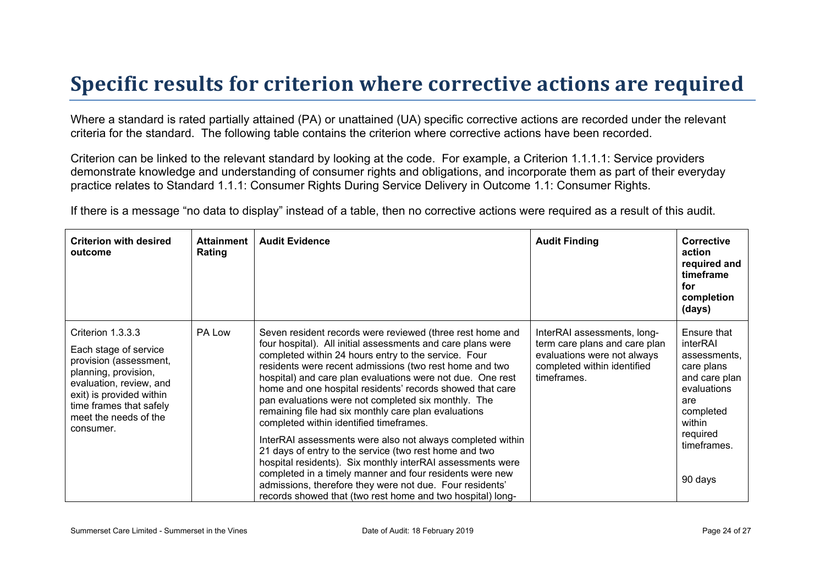### **Specific results for criterion where corrective actions are required**

Where a standard is rated partially attained (PA) or unattained (UA) specific corrective actions are recorded under the relevant criteria for the standard. The following table contains the criterion where corrective actions have been recorded.

Criterion can be linked to the relevant standard by looking at the code. For example, a Criterion 1.1.1.1: Service providers demonstrate knowledge and understanding of consumer rights and obligations, and incorporate them as part of their everyday practice relates to Standard 1.1.1: Consumer Rights During Service Delivery in Outcome 1.1: Consumer Rights.

If there is a message "no data to display" instead of a table, then no corrective actions were required as a result of this audit.

| <b>Criterion with desired</b><br>outcome                                                                                                                                                                             | <b>Attainment</b><br>Rating | <b>Audit Evidence</b>                                                                                                                                                                                                                                                                                                                                                                                                                                                                                                                                                                                                                                                                                                                                                                                                                                                                                        | <b>Audit Finding</b>                                                                                                                      | <b>Corrective</b><br>action<br>required and<br>timeframe<br>for<br>completion<br>(days)                                                                   |
|----------------------------------------------------------------------------------------------------------------------------------------------------------------------------------------------------------------------|-----------------------------|--------------------------------------------------------------------------------------------------------------------------------------------------------------------------------------------------------------------------------------------------------------------------------------------------------------------------------------------------------------------------------------------------------------------------------------------------------------------------------------------------------------------------------------------------------------------------------------------------------------------------------------------------------------------------------------------------------------------------------------------------------------------------------------------------------------------------------------------------------------------------------------------------------------|-------------------------------------------------------------------------------------------------------------------------------------------|-----------------------------------------------------------------------------------------------------------------------------------------------------------|
| Criterion 1.3.3.3<br>Each stage of service<br>provision (assessment,<br>planning, provision,<br>evaluation, review, and<br>exit) is provided within<br>time frames that safely<br>meet the needs of the<br>consumer. | PA Low                      | Seven resident records were reviewed (three rest home and<br>four hospital). All initial assessments and care plans were<br>completed within 24 hours entry to the service. Four<br>residents were recent admissions (two rest home and two<br>hospital) and care plan evaluations were not due. One rest<br>home and one hospital residents' records showed that care<br>pan evaluations were not completed six monthly. The<br>remaining file had six monthly care plan evaluations<br>completed within identified timeframes.<br>InterRAI assessments were also not always completed within<br>21 days of entry to the service (two rest home and two<br>hospital residents). Six monthly interRAI assessments were<br>completed in a timely manner and four residents were new<br>admissions, therefore they were not due. Four residents'<br>records showed that (two rest home and two hospital) long- | InterRAI assessments, long-<br>term care plans and care plan<br>evaluations were not always<br>completed within identified<br>timeframes. | Ensure that<br>interRAI<br>assessments.<br>care plans<br>and care plan<br>evaluations<br>are<br>completed<br>within<br>required<br>timeframes.<br>90 days |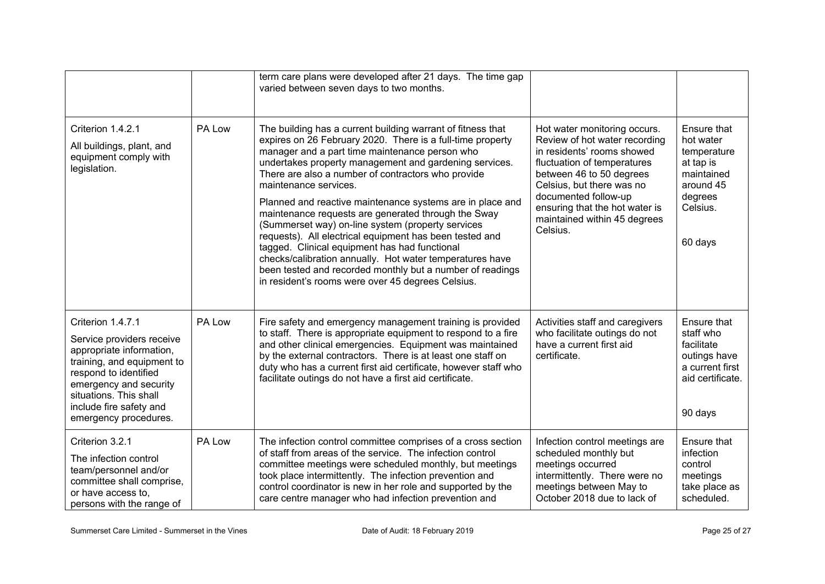|                                                                                                                                                                                                                                           |        | term care plans were developed after 21 days. The time gap<br>varied between seven days to two months.                                                                                                                                                                                                                                                                                                                                                                                                                                                                                                                                                                                                                                                                                  |                                                                                                                                                                                                                                                                                           |                                                                                                                   |
|-------------------------------------------------------------------------------------------------------------------------------------------------------------------------------------------------------------------------------------------|--------|-----------------------------------------------------------------------------------------------------------------------------------------------------------------------------------------------------------------------------------------------------------------------------------------------------------------------------------------------------------------------------------------------------------------------------------------------------------------------------------------------------------------------------------------------------------------------------------------------------------------------------------------------------------------------------------------------------------------------------------------------------------------------------------------|-------------------------------------------------------------------------------------------------------------------------------------------------------------------------------------------------------------------------------------------------------------------------------------------|-------------------------------------------------------------------------------------------------------------------|
| Criterion 1.4.2.1<br>All buildings, plant, and<br>equipment comply with<br>legislation.                                                                                                                                                   | PA Low | The building has a current building warrant of fitness that<br>expires on 26 February 2020. There is a full-time property<br>manager and a part time maintenance person who<br>undertakes property management and gardening services.<br>There are also a number of contractors who provide<br>maintenance services.<br>Planned and reactive maintenance systems are in place and<br>maintenance requests are generated through the Sway<br>(Summerset way) on-line system (property services<br>requests). All electrical equipment has been tested and<br>tagged. Clinical equipment has had functional<br>checks/calibration annually. Hot water temperatures have<br>been tested and recorded monthly but a number of readings<br>in resident's rooms were over 45 degrees Celsius. | Hot water monitoring occurs.<br>Review of hot water recording<br>in residents' rooms showed<br>fluctuation of temperatures<br>between 46 to 50 degrees<br>Celsius, but there was no<br>documented follow-up<br>ensuring that the hot water is<br>maintained within 45 degrees<br>Celsius. | Ensure that<br>hot water<br>temperature<br>at tap is<br>maintained<br>around 45<br>degrees<br>Celsius.<br>60 days |
| Criterion 1.4.7.1<br>Service providers receive<br>appropriate information,<br>training, and equipment to<br>respond to identified<br>emergency and security<br>situations. This shall<br>include fire safety and<br>emergency procedures. | PA Low | Fire safety and emergency management training is provided<br>to staff. There is appropriate equipment to respond to a fire<br>and other clinical emergencies. Equipment was maintained<br>by the external contractors. There is at least one staff on<br>duty who has a current first aid certificate, however staff who<br>facilitate outings do not have a first aid certificate.                                                                                                                                                                                                                                                                                                                                                                                                     | Activities staff and caregivers<br>who facilitate outings do not<br>have a current first aid<br>certificate.                                                                                                                                                                              | Ensure that<br>staff who<br>facilitate<br>outings have<br>a current first<br>aid certificate.<br>90 days          |
| Criterion 3.2.1<br>The infection control<br>team/personnel and/or<br>committee shall comprise,<br>or have access to,<br>persons with the range of                                                                                         | PA Low | The infection control committee comprises of a cross section<br>of staff from areas of the service. The infection control<br>committee meetings were scheduled monthly, but meetings<br>took place intermittently. The infection prevention and<br>control coordinator is new in her role and supported by the<br>care centre manager who had infection prevention and                                                                                                                                                                                                                                                                                                                                                                                                                  | Infection control meetings are<br>scheduled monthly but<br>meetings occurred<br>intermittently. There were no<br>meetings between May to<br>October 2018 due to lack of                                                                                                                   | Ensure that<br>infection<br>control<br>meetings<br>take place as<br>scheduled.                                    |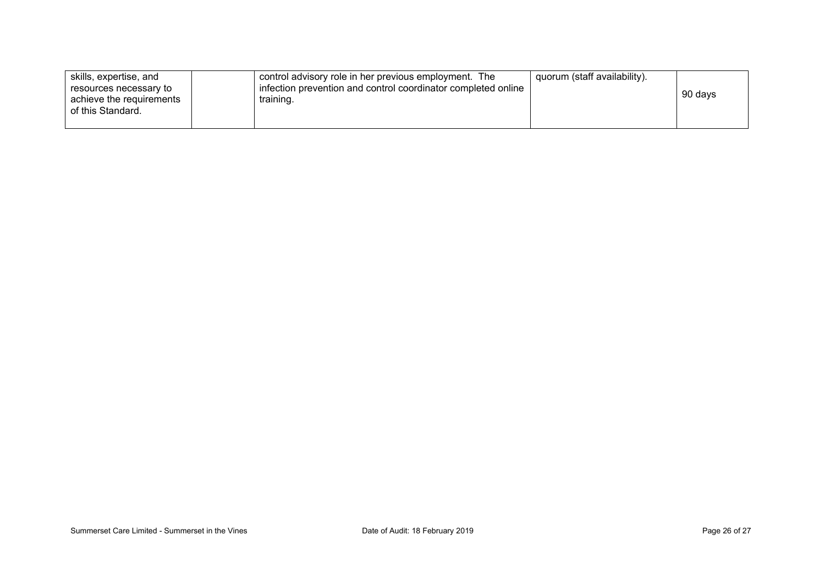| skills, expertise, and   | control advisory role in her previous employment. The         | quorum (staff availability). |         |
|--------------------------|---------------------------------------------------------------|------------------------------|---------|
| resources necessary to   | infection prevention and control coordinator completed online |                              |         |
| achieve the requirements | training.                                                     |                              | 90 days |
| of this Standard.        |                                                               |                              |         |
|                          |                                                               |                              |         |